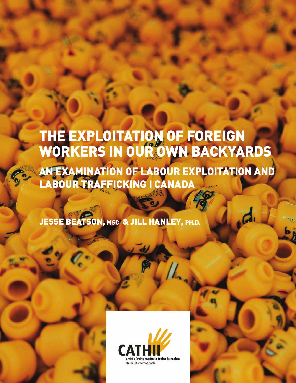# **THE EXPLOITATION OF FOREIGN WORKERS IN OUR OWN BACKYARDS**

**AN EXAMINATION OF LABOUR EXPLOITATION AND LABOUR TRAFFICKING I CANADA**

**JESSE BEATSON, MSC & JILL HANLEY, PH.D.**

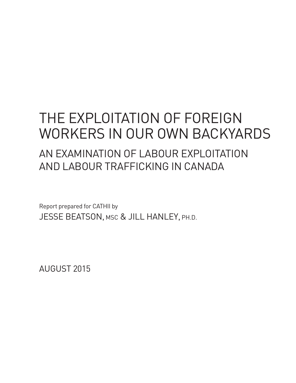# THE EXPLOITATION OF FOREIGN WORKERS IN OUR OWN BACKYARDS AN EXAMINATION OF LABOUR EXPLOITATION AND LABOUR TRAFFICKING IN CANADA

Report prepared for CATHII by JESSE BEATSON, MSC & JILL HANLEY, PH.D.

AUGUST 2015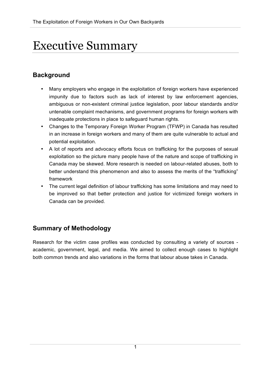## Executive Summary

## **Background**

- Many employers who engage in the exploitation of foreign workers have experienced impunity due to factors such as lack of interest by law enforcement agencies, ambiguous or non-existent criminal justice legislation, poor labour standards and/or untenable complaint mechanisms, and government programs for foreign workers with inadequate protections in place to safeguard human rights.
- Changes to the Temporary Foreign Worker Program (TFWP) in Canada has resulted in an increase in foreign workers and many of them are quite vulnerable to actual and potential exploitation.
- A lot of reports and advocacy efforts focus on trafficking for the purposes of sexual exploitation so the picture many people have of the nature and scope of trafficking in Canada may be skewed. More research is needed on labour-related abuses, both to better understand this phenomenon and also to assess the merits of the "trafficking" framework
- The current legal definition of labour trafficking has some limitations and may need to be improved so that better protection and justice for victimized foreign workers in Canada can be provided.

## **Summary of Methodology**

Research for the victim case profiles was conducted by consulting a variety of sources academic, government, legal, and media. We aimed to collect enough cases to highlight both common trends and also variations in the forms that labour abuse takes in Canada.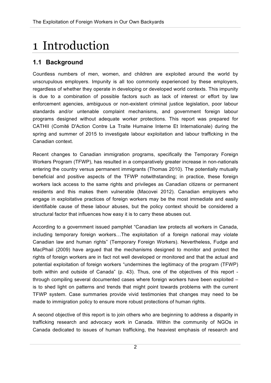# 1 Introduction

## **1.1 Background**

Countless numbers of men, women, and children are exploited around the world by unscrupulous employers. Impunity is all too commonly experienced by these employers, regardless of whether they operate in developing or developed world contexts. This impunity is due to a combination of possible factors such as lack of interest or effort by law enforcement agencies, ambiguous or non-existent criminal justice legislation, poor labour standards and/or untenable complaint mechanisms, and government foreign labour programs designed without adequate worker protections. This report was prepared for CATHII (Comité D'Action Contre La Traite Humaine Interne Et Internationale) during the spring and summer of 2015 to investigate labour exploitation and labour trafficking in the Canadian context.

Recent changes to Canadian immigration programs, specifically the Temporary Foreign Workers Program (TFWP), has resulted in a comparatively greater increase in non-nationals entering the country versus permanent immigrants (Thomas 2010). The potentially mutually beneficial and positive aspects of the TFWP notwithstanding; in practice, these foreign workers lack access to the same rights and privileges as Canadian citizens or permanent residents and this makes them vulnerable (Macovei 2012). Canadian employers who engage in exploitative practices of foreign workers may be the most immediate and easily identifiable cause of these labour abuses, but the policy context should be considered a structural factor that influences how easy it is to carry these abuses out.

According to a government issued pamphlet "Canadian law protects all workers in Canada, including temporary foreign workers…The exploitation of a foreign national may violate Canadian law and human rights" (Temporary Foreign Workers). Nevertheless, Fudge and MacPhail (2009) have argued that the mechanisms designed to monitor and protect the rights of foreign workers are in fact not well developed or monitored and that the actual and potential exploitation of foreign workers "undermines the legitimacy of the program (TFWP) both within and outside of Canada" (p. 43). Thus, one of the objectives of this report through compiling several documented cases where foreign workers have been exploited – is to shed light on patterns and trends that might point towards problems with the current TFWP system. Case summaries provide vivid testimonies that changes may need to be made to immigration policy to ensure more robust protections of human rights.

A second objective of this report is to join others who are beginning to address a disparity in trafficking research and advocacy work in Canada. Within the community of NGOs in Canada dedicated to issues of human trafficking, the heaviest emphasis of research and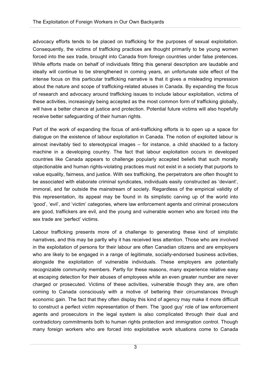advocacy efforts tends to be placed on trafficking for the purposes of sexual exploitation. Consequently, the victims of trafficking practices are thought primarily to be young women forced into the sex trade, brought into Canada from foreign countries under false pretences. While efforts made on behalf of individuals fitting this general description are laudable and ideally will continue to be strengthened in coming years, an unfortunate side effect of the intense focus on this particular trafficking narrative is that it gives a misleading impression about the nature and scope of trafficking-related abuses in Canada. By expanding the focus of research and advocacy around trafficking issues to include labour exploitation, victims of these activities, increasingly being accepted as the most common form of trafficking globally, will have a better chance at justice and protection. Potential future victims will also hopefully receive better safeguarding of their human rights.

Part of the work of expanding the focus of anti-trafficking efforts is to open up a space for dialogue on the existence of labour exploitation in Canada. The notion of exploited labour is almost inevitably tied to stereotypical images – for instance, a child shackled to a factory machine in a developing country. The fact that labour exploitation occurs in developed countries like Canada appears to challenge popularly accepted beliefs that such morally objectionable and human rights-violating practices must not exist in a society that purports to value equality, fairness, and justice. With sex trafficking, the perpetrators are often thought to be associated with elaborate criminal syndicates, individuals easily constructed as 'deviant', immoral, and far outside the mainstream of society. Regardless of the empirical validity of this representation, its appeal may be found in its simplistic carving up of the world into 'good', 'evil', and 'victim' categories, where law enforcement agents and criminal prosecutors are good, traffickers are evil, and the young and vulnerable women who are forced into the sex trade are 'perfect' victims.

Labour trafficking presents more of a challenge to generating these kind of simplistic narratives, and this may be partly why it has received less attention. Those who are involved in the exploitation of persons for their labour are often Canadian citizens and are employers who are likely to be engaged in a range of legitimate, socially-endorsed business activities, alongside the exploitation of vulnerable individuals. These employers are potentially recognizable community members. Partly for these reasons, many experience relative easy at escaping detection for their abuses of employees while an even greater number are never charged or prosecuted. Victims of these activities, vulnerable though they are, are often coming to Canada consciously with a motive of bettering their circumstances through economic gain. The fact that they often display this kind of agency may make it more difficult to construct a perfect victim representation of them. The 'good guy' role of law enforcement agents and prosecutors in the legal system is also complicated through their dual and contradictory commitments both to human rights protection and immigration control. Though many foreign workers who are forced into exploitative work situations come to Canada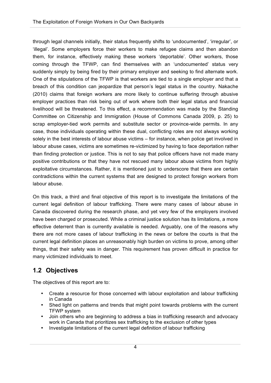through legal channels initially, their status frequently shifts to 'undocumented', 'irregular', or 'illegal'. Some employers force their workers to make refugee claims and then abandon them, for instance, effectively making these workers 'deportable'. Other workers, those coming through the TFWP, can find themselves with an 'undocumented' status very suddenly simply by being fired by their primary employer and seeking to find alternate work. One of the stipulations of the TFWP is that workers are tied to a single employer and that a breach of this condition can jeopardize that person's legal status in the country. Nakache (2010) claims that foreign workers are more likely to continue suffering through abusive employer practices than risk being out of work where both their legal status and financial livelihood will be threatened. To this effect, a recommendation was made by the Standing Committee on Citizenship and Immigration (House of Commons Canada 2009, p. 25) to scrap employer-tied work permits and substitute sector or province-wide permits. In any case, those individuals operating within these dual, conflicting roles are not always working solely in the best interests of labour abuse victims – for instance, when police get involved in labour abuse cases, victims are sometimes re-victimized by having to face deportation rather than finding protection or justice. This is not to say that police officers have not made many positive contributions or that they have not rescued many labour abuse victims from highly exploitative circumstances. Rather, it is mentioned just to underscore that there are certain contradictions within the current systems that are designed to protect foreign workers from labour abuse.

On this track, a third and final objective of this report is to investigate the limitations of the current legal definition of labour trafficking. There were many cases of labour abuse in Canada discovered during the research phase, and yet very few of the employers involved have been charged or prosecuted. While a criminal justice solution has its limitations, a more effective deterrent than is currently available is needed. Arguably, one of the reasons why there are not more cases of labour trafficking in the news or before the courts is that the current legal definition places an unreasonably high burden on victims to prove, among other things, that their safety was in danger. This requirement has proven difficult in practice for many victimized individuals to meet.

## **1.2 Objectives**

The objectives of this report are to:

- Create a resource for those concerned with labour exploitation and labour trafficking in Canada
- Shed light on patterns and trends that might point towards problems with the current TFWP system
- Join others who are beginning to address a bias in trafficking research and advocacy work in Canada that prioritizes sex trafficking to the exclusion of other types
- Investigate limitations of the current legal definition of labour trafficking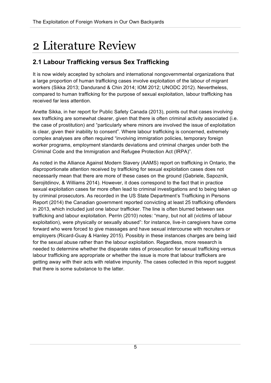# 2 Literature Review

## **2.1 Labour Trafficking versus Sex Trafficking**

It is now widely accepted by scholars and international nongovernmental organizations that a large proportion of human trafficking cases involve exploitation of the labour of migrant workers (Sikka 2013; Dandurand & Chin 2014; IOM 2012; UNODC 2012). Nevertheless, compared to human trafficking for the purpose of sexual exploitation, labour trafficking has received far less attention.

Anette Sikka, in her report for Public Safety Canada (2013), points out that cases involving sex trafficking are somewhat clearer, given that there is often criminal activity associated (i.e. the case of prostitution) and "particularly where minors are involved the issue of exploitation is clear, given their inability to consent". Where labour trafficking is concerned, extremely complex analyses are often required "involving immigration policies, temporary foreign worker programs, employment standards deviations and criminal charges under both the Criminal Code and the Immigration and Refugee Protection Act (IRPA)".

As noted in the Alliance Against Modern Slavery (AAMS) report on trafficking in Ontario, the disproportionate attention received by trafficking for sexual exploitation cases does not necessarily mean that there are more of these cases on the ground (Gabriele, Sapoznik, Serojitdinov, & Williams 2014). However, it does correspond to the fact that in practice sexual exploitation cases far more often lead to criminal investigations and to being taken up by criminal prosecutors. As recorded in the US State Department's Trafficking in Persons Report (2014) the Canadian government reported convicting at least 25 trafficking offenders in 2013, which included just one labour trafficker. The line is often blurred between sex trafficking and labour exploitation. Perrin (2010) notes: "many, but not all (victims of labour exploitation), were physically or sexually abused": for instance, live-in caregivers have come forward who were forced to give massages and have sexual intercourse with recruiters or employers (Ricard-Guay & Hanley 2015). Possibly in these instances charges are being laid for the sexual abuse rather than the labour exploitation. Regardless, more research is needed to determine whether the disparate rates of prosecution for sexual trafficking versus labour trafficking are appropriate or whether the issue is more that labour traffickers are getting away with their acts with relative impunity. The cases collected in this report suggest that there is some substance to the latter.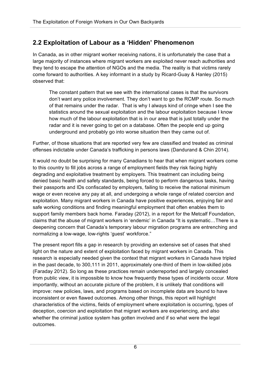### **2.2 Exploitation of Labour as a 'Hidden' Phenomenon**

In Canada, as in other migrant worker receiving nations, it is unfortunately the case that a large majority of instances where migrant workers are exploited never reach authorities and they tend to escape the attention of NGOs and the media. The reality is that victims rarely come forward to authorities. A key informant in a study by Ricard-Guay & Hanley (2015) observed that:

The constant pattern that we see with the international cases is that the survivors don't want any police involvement. They don't want to go the RCMP route. So much of that remains under the radar. That is why I always kind of cringe when I see the statistics around the sexual exploitation and the labour exploitation because I know how much of the labour exploitation that is in our area that is just totally under the radar and it is never going to get on a database. Often the people end up going underground and probably go into worse situation then they came out of.

Further, of those situations that are reported very few are classified and treated as criminal offenses indictable under Canada's trafficking in persons laws (Dandurand & Chin 2014).

It would no doubt be surprising for many Canadians to hear that when migrant workers come to this country to fill jobs across a range of employment fields they risk facing highly degrading and exploitative treatment by employers. This treatment can including being denied basic health and safety standards, being forced to perform dangerous tasks, having their passports and IDs confiscated by employers, failing to receive the national minimum wage or even receive any pay at all, and undergoing a whole range of related coercion and exploitation. Many migrant workers in Canada have positive experiences, enjoying fair and safe working conditions and finding meaningful employment that often enables them to support family members back home. Faraday (2012), in a report for the Metcalf Foundation, claims that the abuse of migrant workers in 'endemic' in Canada "It is systematic…There is a deepening concern that Canada's temporary labour migration programs are entrenching and normalizing a low-wage, low-rights 'guest' workforce."

The present report fills a gap in research by providing an extensive set of cases that shed light on the nature and extent of exploitation faced by migrant workers in Canada. This research is especially needed given the context that migrant workers in Canada have tripled in the past decade, to 300,111 in 2011, approximately one-third of them in low-skilled jobs (Faraday 2012). So long as these practices remain underreported and largely concealed from public view, it is impossible to know how frequently these types of incidents occur. More importantly, without an accurate picture of the problem, it is unlikely that conditions will improve: new policies, laws, and programs based on incomplete data are bound to have inconsistent or even flawed outcomes. Among other things, this report will highlight characteristics of the victims, fields of employment where exploitation is occurring, types of deception, coercion and exploitation that migrant workers are experiencing, and also whether the criminal justice system has gotten involved and if so what were the legal outcomes.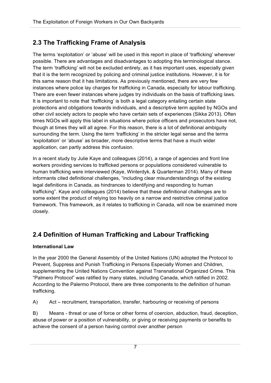## **2.3 The Trafficking Frame of Analysis**

The terms 'exploitation' or 'abuse' will be used in this report in place of 'trafficking' wherever possible. There are advantages and disadvantages to adopting this terminological stance. The term 'trafficking' will not be excluded entirely, as it has important uses, especially given that it is the term recognized by policing and criminal justice institutions. However, it is for this same reason that it has limitations. As previously mentioned, there are very few instances where police lay charges for trafficking in Canada, especially for labour trafficking. There are even fewer instances where judges try individuals on the basis of trafficking laws. It is important to note that 'trafficking' is both a legal category entailing certain state protections and obligations towards individuals, and a descriptive term applied by NGOs and other civil society actors to people who have certain sets of experiences (Sikka 2013). Often times NGOs will apply this label in situations where police officers and prosecutors have not, though at times they will all agree. For this reason, there is a lot of definitional ambiguity surrounding the term. Using the term 'trafficking' in the stricter legal sense and the terms 'exploitation' or 'abuse' as broader, more descriptive terms that have a much wider application, can partly address this confusion.

In a recent study by Julie Kaye and colleagues (2014), a range of agencies and front line workers providing services to trafficked persons or populations considered vulnerable to human trafficking were interviewed (Kaye, Winterdyk, & Quarterman 2014). Many of these informants cited definitional challenges, "including clear misunderstandings of the existing legal definitions in Canada, as hindrances to identifying and responding to human trafficking". Kaye and colleagues (2014) believe that these definitional challenges are to some extent the product of relying too heavily on a narrow and restrictive criminal justice framework. This framework, as it relates to trafficking in Canada, will now be examined more closely.

## **2.4 Definition of Human Trafficking and Labour Trafficking**

### **International Law**

In the year 2000 the General Assembly of the United Nations (UN) adopted the Protocol to Prevent, Suppress and Punish Trafficking in Persons Especially Women and Children, supplementing the United Nations Convention against Transnational Organized Crime. This "Palmero Protocol" was ratified by many states, including Canada, which ratified in 2002. According to the Palermo Protocol, there are three components to the definition of human trafficking.

A) Act – recruitment, transportation, transfer, harbouring or receiving of persons

B) Means - threat or use of force or other forms of coercion, abduction, fraud, deception, abuse of power or a position of vulnerability, or giving or receiving payments or benefits to achieve the consent of a person having control over another person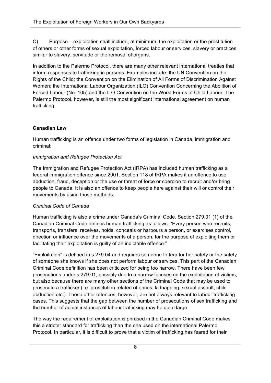C) Purpose – exploitation shall include, at minimum, the exploitation or the prostitution of others or other forms of sexual exploitation, forced labour or services, slavery or practices similar to slavery, servitude or the removal of organs.

In addition to the Palermo Protocol, there are many other relevant international treaties that inform responses to trafficking in persons. Examples include: the UN Convention on the Rights of the Child; the Convention on the Elimination of All Forms of Discrimination Against Women; the International Labour Organization (ILO) Convention Concerning the Abolition of Forced Labour (No. 105) and the ILO Convention on the Worst Forms of Child Labour. The Palermo Protocol, however, is still the most significant international agreement on human trafficking.

### **Canadian Law**

Human trafficking is an offence under two forms of legislation in Canada, immigration and criminal:

### *Immigration and Refugee Protection Act*

The Immigration and Refugee Protection Act (IRPA) has included human trafficking as a federal immigration offence since 2001. Section 118 of IRPA makes it an offence to use abduction, fraud, deception or the use or threat of force or coercion to recruit and/or bring people to Canada. It is also an offence to keep people here against their will or control their movements by using those methods.

### *Criminal Code of Canada*

Human trafficking is also a crime under Canada's Criminal Code. Section 279.01 (1) of the Canadian Criminal Code defines human trafficking as follows: "Every person who recruits, transports, transfers, receives, holds, conceals or harbours a person, or exercises control, direction or influence over the movements of a person, for the purpose of exploiting them or facilitating their exploitation is guilty of an indictable offence."

"Exploitation" is defined in s.279.04 and requires someone to fear for her safety or the safety of someone she knows if she does not perform labour or services. This part of the Canadian Criminal Code definition has been criticized for being too narrow. There have been few prosecutions under s 279.01, possibly due to a narrow focuses on the exploitation of victims, but also because there are many other sections of the Criminal Code that may be used to prosecute a trafficker (i.e. prostitution related offences, kidnapping, sexual assault, child abduction etc.). These other offences, however, are not always relevant to labour trafficking cases. This suggests that the gap between the number of prosecutions of sex trafficking and the number of actual instances of labour trafficking may be quite large.

The way the requirement of exploitation is phrased in the Canadian Criminal Code makes this a stricter standard for trafficking than the one used on the international Palermo Protocol. In particular, it is difficult to prove that a victim of trafficking has feared for their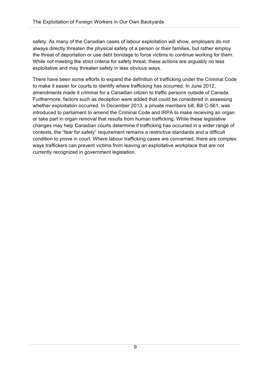safety. As many of the Canadian cases of labour exploitation will show, employers do not always directly threaten the physical safety of a person or their families, but rather employ the threat of deportation or use debt bondage to force victims to continue working for them. While not meeting the strict criteria for safety threat, these actions are arguably no less exploitative and may threaten safety in less obvious ways.

There have been some efforts to expand the definition of trafficking under the Criminal Code to make it easier for courts to identify where trafficking has occurred. In June 2012, amendments made it criminal for a Canadian citizen to traffic persons outside of Canada. Furthermore, factors such as deception were added that could be considered in assessing whether exploitation occurred. In December 2013, a private members bill, Bill C-561, was introduced to parliament to amend the Criminal Code and IRPA to make receiving an organ or take part in organ removal that results from human trafficking. While these legislative changes may help Canadian courts determine if trafficking has occurred in a wider range of contexts, the "fear for safety" requirement remains a restrictive standards and a difficult condition to prove in court. Where labour trafficking cases are concerned, there are complex ways traffickers can prevent victims from leaving an exploitative workplace that are not currently recognized in government legislation.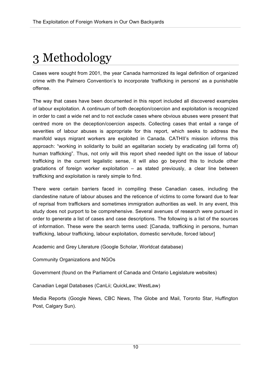# 3 Methodology

Cases were sought from 2001, the year Canada harmonized its legal definition of organized crime with the Palmero Convention's to incorporate 'trafficking in persons' as a punishable offense.

The way that cases have been documented in this report included all discovered examples of labour exploitation. A continuum of both deception/coercion and exploitation is recognized in order to cast a wide net and to not exclude cases where obvious abuses were present that centred more on the deception/coercion aspects. Collecting cases that entail a range of severities of labour abuses is appropriate for this report, which seeks to address the manifold ways migrant workers are exploited in Canada. CATHII's mission informs this approach: "working in solidarity to build an egalitarian society by eradicating (all forms of) human trafficking". Thus, not only will this report shed needed light on the issue of labour trafficking in the current legalistic sense, it will also go beyond this to include other gradations of foreign worker exploitation – as stated previously, a clear line between trafficking and exploitation is rarely simple to find.

There were certain barriers faced in compiling these Canadian cases, including the clandestine nature of labour abuses and the reticence of victims to come forward due to fear of reprisal from traffickers and sometimes immigration authorities as well. In any event, this study does not purport to be comprehensive. Several avenues of research were pursued in order to generate a list of cases and case descriptions. The following is a list of the sources of information. These were the search terms used: [Canada, trafficking in persons, human trafficking, labour trafficking, labour exploitation, domestic servitude, forced labour]

Academic and Grey Literature (Google Scholar, Worldcat database)

Community Organizations and NGOs

Government (found on the Parliament of Canada and Ontario Legislature websites)

Canadian Legal Databases (CanLii; QuickLaw; WestLaw)

Media Reports (Google News, CBC News, The Globe and Mail, Toronto Star, Huffington Post, Calgary Sun).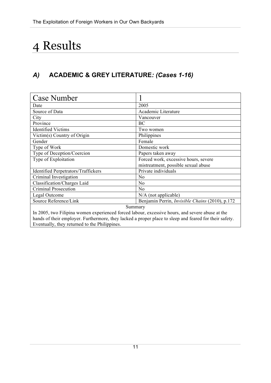## 4 Results

## *A)* **ACADEMIC & GREY LITERATURE***: (Cases 1-16)*

| <b>Case Number</b>                                                                                     |                                                        |
|--------------------------------------------------------------------------------------------------------|--------------------------------------------------------|
| Date                                                                                                   | 2005                                                   |
| Source of Data                                                                                         | Academic Literature                                    |
| City                                                                                                   | Vancouver                                              |
| Province                                                                                               | ВC                                                     |
| <b>Identified Victims</b>                                                                              | Two women                                              |
| Victim(s) Country of Origin                                                                            | Philippines                                            |
| Gender                                                                                                 | Female                                                 |
| Type of Work                                                                                           | Domestic work                                          |
| Type of Deception/Coercion                                                                             | Papers taken away                                      |
| Type of Exploitation                                                                                   | Forced work, excessive hours, severe                   |
|                                                                                                        | mistreatment, possible sexual abuse                    |
| <b>Identified Perpetrators/Traffickers</b>                                                             | Private individuals                                    |
| Criminal Investigation                                                                                 | N <sub>0</sub>                                         |
| Classification/Charges Laid                                                                            | N <sub>o</sub>                                         |
| Criminal Prosecution                                                                                   | N <sub>o</sub>                                         |
| Legal Outcome                                                                                          | N/A (not applicable)                                   |
| Source Reference/Link                                                                                  | Benjamin Perrin, <i>Invisible Chains</i> (2010), p.172 |
| Summary                                                                                                |                                                        |
| In 2005, two Filipina women experienced forced labour, excessive hours, and severe abuse at the        |                                                        |
| hands of their employer. Furthermore, they lacked a proper place to sleep and feared for their safety. |                                                        |
| Eventually, they returned to the Philippines.                                                          |                                                        |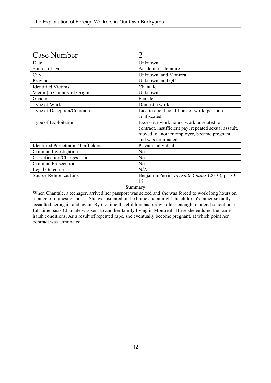| <b>Case Number</b>                         | $\overline{2}$                                                                                                                                                      |
|--------------------------------------------|---------------------------------------------------------------------------------------------------------------------------------------------------------------------|
| Date                                       | Unknown                                                                                                                                                             |
| Source of Data                             | Academic Literature                                                                                                                                                 |
| City                                       | Unknown, and Montreal                                                                                                                                               |
| Province                                   | Unknown, and QC                                                                                                                                                     |
| <b>Identified Victims</b>                  | Chantale                                                                                                                                                            |
| Victim(s) Country of Origin                | Unknown                                                                                                                                                             |
| Gender                                     | Female                                                                                                                                                              |
| Type of Work                               | Domestic work                                                                                                                                                       |
| Type of Deception/Coercion                 | Lied to about conditions of work, passport<br>confiscated                                                                                                           |
| Type of Exploitation                       | Excessive work hours, work unrelated to<br>contract, insufficient pay, repeated sexual assault,<br>moved to another employer, became pregnant<br>and was terminated |
| <b>Identified Perpetrators/Traffickers</b> | Private individual                                                                                                                                                  |
| Criminal Investigation                     | N <sub>0</sub>                                                                                                                                                      |
| Classification/Charges Laid                | N <sub>0</sub>                                                                                                                                                      |
| <b>Criminal Prosecution</b>                | N <sub>0</sub>                                                                                                                                                      |
| Legal Outcome                              | N/A                                                                                                                                                                 |
| Source Reference/Link                      | Benjamin Perrin, <i>Invisible Chains</i> (2010), p.170-<br>171                                                                                                      |
| Summary                                    |                                                                                                                                                                     |

When Chantale, a teenager, arrived her passport was seized and she was forced to work long hours on a range of domestic chores. She was isolated in the home and at night the children's father sexually assaulted her again and again. By the time the children had grown older enough to attend school on a full-time basis Chantale was sent to another family living in Montreal. There she endured the same harsh conditions. As a result of repeated rape, she eventually become pregnant, at which point her contract was terminated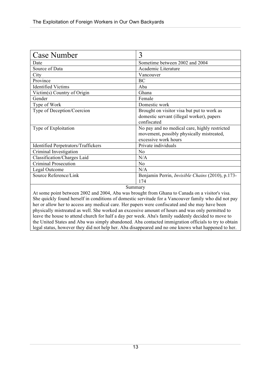| <b>Case Number</b>                         | 3                                                                 |
|--------------------------------------------|-------------------------------------------------------------------|
| Date                                       | Sometime between 2002 and 2004                                    |
| Source of Data                             | Academic Literature                                               |
| City                                       | Vancouver                                                         |
| Province                                   | BC                                                                |
| <b>Identified Victims</b>                  | Aba                                                               |
| Victim(s) Country of Origin                | Ghana                                                             |
| Gender                                     | Female                                                            |
| Type of Work                               | Domestic work                                                     |
| Type of Deception/Coercion                 | Brought on visitor visa but put to work as                        |
|                                            | domestic servant (illegal worker), papers<br>confiscated          |
| Type of Exploitation                       | No pay and no medical care, highly restricted                     |
|                                            | movement, possibly physically mistreated,<br>excessive work hours |
| <b>Identified Perpetrators/Traffickers</b> | Private individuals                                               |
| Criminal Investigation                     | N <sub>o</sub>                                                    |
| Classification/Charges Laid                | N/A                                                               |
| Criminal Prosecution                       | N <sub>0</sub>                                                    |
| Legal Outcome                              | N/A                                                               |
| Source Reference/Link                      | Benjamin Perrin, <i>Invisible Chains</i> (2010), p.173-           |
|                                            | 174                                                               |
| Summary                                    |                                                                   |

At some point between 2002 and 2004, Aba was brought from Ghana to Canada on a visitor's visa. She quickly found herself in conditions of domestic servitude for a Vancouver family who did not pay her or allow her to access any medical care. Her papers were confiscated and she may have been physically mistreated as well. She worked an excessive amount of hours and was only permitted to leave the house to attend church for half a day per week. Aba's family suddenly decided to move to the United States and Aba was simply abandoned. Aba contacted immigration officials to try to obtain legal status, however they did not help her. Aba disappeared and no one knows what happened to her.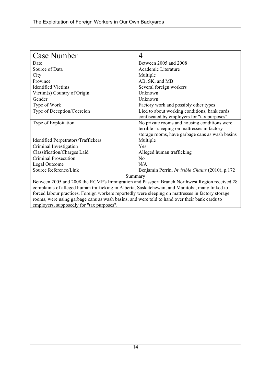| <b>Case Number</b>                                                                                 | 4                                                      |
|----------------------------------------------------------------------------------------------------|--------------------------------------------------------|
| Date                                                                                               | Between 2005 and 2008                                  |
| Source of Data                                                                                     | Academic Literature                                    |
| City                                                                                               | Multiple                                               |
| Province                                                                                           | AB, SK, and MB                                         |
| <b>Identified Victims</b>                                                                          | Several foreign workers                                |
| Victim(s) Country of Origin                                                                        | Unknown                                                |
| Gender                                                                                             | Unknown                                                |
| Type of Work                                                                                       | Factory work and possibly other types                  |
| Type of Deception/Coercion                                                                         | Lied to about working conditions, bank cards           |
|                                                                                                    | confiscated by employers for "tax purposes"            |
| Type of Exploitation                                                                               | No private rooms and housing conditions were           |
|                                                                                                    | terrible - sleeping on mattresses in factory           |
|                                                                                                    | storage rooms, have garbage cans as wash basins        |
| <b>Identified Perpetrators/Traffickers</b>                                                         | Multiple                                               |
| Criminal Investigation                                                                             | Yes                                                    |
| Classification/Charges Laid                                                                        | Alleged human trafficking                              |
| Criminal Prosecution                                                                               | N <sub>o</sub>                                         |
| Legal Outcome                                                                                      | N/A                                                    |
| Source Reference/Link                                                                              | Benjamin Perrin, <i>Invisible Chains</i> (2010), p.172 |
| Summary                                                                                            |                                                        |
| Between 2005 and 2008 the RCMP's Immigration and Passport Branch Northwest Region received 28      |                                                        |
| complaints of alleged human trafficking in Alberta, Saskatchewan, and Manitoba, many linked to     |                                                        |
| forced labour practices. Foreign workers reportedly were sleeping on mattresses in factory storage |                                                        |

forced labour practices. Foreign workers reportedly were sleeping on mattresses in factory storage rooms, were using garbage cans as wash basins, and were told to hand over their bank cards to employers, supposedly for "tax purposes".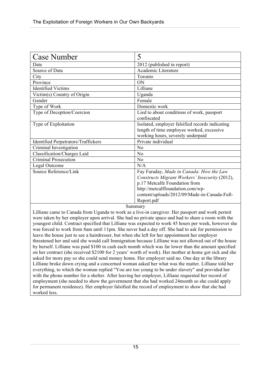| <b>Case Number</b>                         | 5                                               |
|--------------------------------------------|-------------------------------------------------|
| Date                                       | 2012 (published in report)                      |
| Source of Data                             | Academic Literature                             |
| City                                       | Toronto                                         |
| Province                                   | ON                                              |
| <b>Identified Victims</b>                  | Lilliane                                        |
| Victim(s) Country of Origin                | Uganda                                          |
| Gender                                     | Female                                          |
| Type of Work                               | Domestic work                                   |
| Type of Deception/Coercion                 | Lied to about conditions of work, passport      |
|                                            | confiscated                                     |
| Type of Exploitation                       | Isolated, employer falsified records indicating |
|                                            | length of time employee worked, excessive       |
|                                            | working hours, severely underpaid               |
| <b>Identified Perpetrators/Traffickers</b> | Private individual                              |
| Criminal Investigation                     | No                                              |
| Classification/Charges Laid                | N <sub>o</sub>                                  |
| <b>Criminal Prosecution</b>                | N <sub>0</sub>                                  |
| Legal Outcome                              | N/A                                             |
| Source Reference/Link                      | Fay Faraday, Made in Canada: How the Law        |
|                                            | Constructs Migrant Workers' Insecurity (2012),  |
|                                            | p.17 Metcalfe Foundation from                   |
|                                            | http://metcalffoundation.com/wp-                |
|                                            | content/uploads/2012/09/Made-in-Canada-Full-    |
|                                            | Report.pdf                                      |
|                                            | $S$ ummary                                      |

Lilliane came to Canada from Uganda to work as a live-in caregiver. Her passport and work permit were taken by her employer upon arrival. She had no private space and had to share a room with the youngest child. Contract specified that Lilliane was expected to work 45 hours per week, however she was forced to work from 8am until 11pm. She never had a day off. She had to ask for permission to leave the house just to see a hairdresser, but when she left for her appointment her employer threatened her and said she would call Immigration because Lilliane was not allowed out of the house by herself. Lilliane was paid \$100 in cash each month which was far lower than the amount specified on her contract (she received \$2100 for 2 years' worth of work). Her mother at home got sick and she asked for more pay so she could send money home. Her employer said no. One day at the library Lilliane broke down crying and a concerned woman asked her what was the matter. Lilliane told her everything, to which the woman replied "You are too young to be under slavery" and provided her with the phone number for a shelter. After leaving her employer, Lilliane requested her record of employment (she needed to show the government that she had worked 24month so she could apply for permanent residence). Her employer falsified the record of employment to show that she had worked less.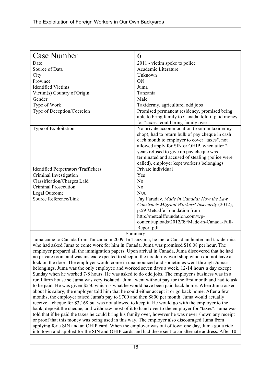| <b>Case Number</b>                  | 6                                                                                                                                                                                                                                                                                                                                         |
|-------------------------------------|-------------------------------------------------------------------------------------------------------------------------------------------------------------------------------------------------------------------------------------------------------------------------------------------------------------------------------------------|
| Date                                | 2011 - victim spoke to police                                                                                                                                                                                                                                                                                                             |
| Source of Data                      | Academic Literature                                                                                                                                                                                                                                                                                                                       |
| City                                | Unknown                                                                                                                                                                                                                                                                                                                                   |
| Province                            | ON                                                                                                                                                                                                                                                                                                                                        |
| <b>Identified Victims</b>           | Juma                                                                                                                                                                                                                                                                                                                                      |
| Victim(s) Country of Origin         | Tanzania                                                                                                                                                                                                                                                                                                                                  |
| Gender                              | Male                                                                                                                                                                                                                                                                                                                                      |
| Type of Work                        | Taxidermy, agriculture, odd jobs                                                                                                                                                                                                                                                                                                          |
| Type of Deception/Coercion          | Promised permanent residency, promised being<br>able to bring family to Canada, told if paid money<br>for "taxes" could bring family over                                                                                                                                                                                                 |
| Type of Exploitation                | No private accommodation (room in taxidermy<br>shop), had to return bulk of pay cheque in cash<br>each month to employer to cover "taxes", not<br>allowed apply for SIN or OHIP, when after 2<br>years refused to give up pay cheque was<br>terminated and accused of stealing (police were<br>called), employer kept worker's belongings |
| Identified Perpetrators/Traffickers | Private individual                                                                                                                                                                                                                                                                                                                        |
| Criminal Investigation              | Yes                                                                                                                                                                                                                                                                                                                                       |
| <b>Classification/Charges Laid</b>  | N <sub>o</sub>                                                                                                                                                                                                                                                                                                                            |
| <b>Criminal Prosecution</b>         | N <sub>0</sub>                                                                                                                                                                                                                                                                                                                            |
| Legal Outcome                       | N/A                                                                                                                                                                                                                                                                                                                                       |
| Source Reference/Link<br>$\sim$     | Fay Faraday, Made in Canada: How the Law<br>Constructs Migrant Workers' Insecurity (2012),<br>p.59 Metcalfe Foundation from<br>http://metcalffoundation.com/wp-<br>content/uploads/2012/09/Made-in-Canada-Full-<br>Report.pdf                                                                                                             |

Juma came to Canada from Tanzania in 2009. In Tanzania, he met a Canadian hunter and taxidermist who had asked Juma to come work for him in Canada. Juma was promised \$16.08 per hour. The employer prepared all the immigration papers. Upon arrival in Canada, Juma discovered that he had no private room and was instead expected to sleep in the taxidermy workshop which did not have a lock on the door. The employer would come in unannounced and sometimes went through Juma's belongings. Juma was the only employee and worked seven days a week, 12-14 hours a day except Sunday when he worked 7-8 hours. He was asked to do odd jobs. The employer's business was in a rural farm house so Juma was very isolated. Juma went without pay for the first month and had to ask to be paid. He was given \$550 which is what he would have been paid back home. When Juma asked about his salary, the employer told him that he could either accept it or go back home. After a few months, the employer raised Juma's pay to \$700 and then \$800 per month. Juma would actually receive a cheque for \$3,168 but was not allowed to keep it. He would go with the employer to the bank, deposit the cheque, and withdraw most of it to hand over to the employer for "taxes". Juma was told that if he paid the taxes he could bring his family over, however he was never shown any receipt or proof that this money was being used in this way. The employer also discouraged Juma from applying for a SIN and an OHIP card. When the employer was out of town one day, Juma got a ride into town and applied for the SIN and OHIP cards and had these sent to an alternate address. After 10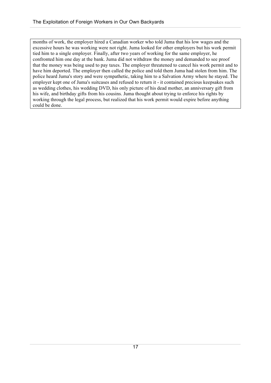months of work, the employer hired a Canadian worker who told Juma that his low wages and the excessive hours he was working were not right. Juma looked for other employers but his work permit tied him to a single employer. Finally, after two years of working for the same employer, he confronted him one day at the bank. Juma did not withdraw the money and demanded to see proof that the money was being used to pay taxes. The employer threatened to cancel his work permit and to have him deported. The employer then called the police and told them Juma had stolen from him. The police heard Juma's story and were sympathetic, taking him to a Salvation Army where he stayed. The employer kept one of Juma's suitcases and refused to return it - it contained precious keepsakes such as wedding clothes, his wedding DVD, his only picture of his dead mother, an anniversary gift from his wife, and birthday gifts from his cousins. Juma thought about trying to enforce his rights by working through the legal process, but realized that his work permit would expire before anything could be done.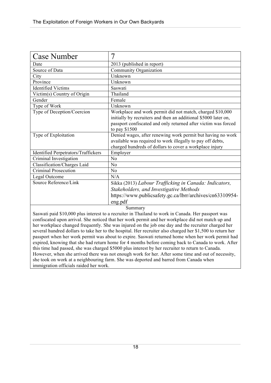| <b>Case Number</b>                         | 7                                                                                                                                                                                                                |
|--------------------------------------------|------------------------------------------------------------------------------------------------------------------------------------------------------------------------------------------------------------------|
| Date                                       | 2013 (published in report)                                                                                                                                                                                       |
| Source of Data                             | Community Organization                                                                                                                                                                                           |
| City                                       | Unknown                                                                                                                                                                                                          |
| Province                                   | Unknown                                                                                                                                                                                                          |
| <b>Identified Victims</b>                  | Saswati                                                                                                                                                                                                          |
| Victim(s) Country of Origin                | Thailand                                                                                                                                                                                                         |
| Gender                                     | Female                                                                                                                                                                                                           |
| Type of Work                               | Unknown                                                                                                                                                                                                          |
| Type of Deception/Coercion                 | Workplace and work permit did not match, charged \$10,000<br>initially by recruiters and then an additional \$5000 later on,<br>passport confiscated and only returned after victim was forced<br>to pay $$1500$ |
| Type of Exploitation                       | Denied wages, after renewing work permit but having no work<br>available was required to work illegally to pay off debts,<br>charged hundreds of dollars to cover a workplace injury                             |
| <b>Identified Perpetrators/Traffickers</b> | Employer                                                                                                                                                                                                         |
| Criminal Investigation                     | No                                                                                                                                                                                                               |
| Classification/Charges Laid                | No                                                                                                                                                                                                               |
| <b>Criminal Prosecution</b>                | No                                                                                                                                                                                                               |
| Legal Outcome                              | N/A                                                                                                                                                                                                              |
| Source Reference/Link                      | Sikka (2013) Labour Trafficking in Canada: Indicators,                                                                                                                                                           |
|                                            | Stakeholders, and Investigative Methods                                                                                                                                                                          |
|                                            | https://www.publicsafety.gc.ca/lbrr/archives/cn63310954-                                                                                                                                                         |
| eng.pdf                                    |                                                                                                                                                                                                                  |
| Summary                                    |                                                                                                                                                                                                                  |

Saswati paid \$10,000 plus interest to a recruiter in Thailand to work in Canada. Her passport was confiscated upon arrival. She noticed that her work permit and her workplace did not match up and her workplace changed frequently. She was injured on the job one day and the recruiter charged her several hundred dollars to take her to the hospital. Her recruiter also charged her \$1,500 to return her passport when her work permit was about to expire. Saswati returned home when her work permit had expired, knowing that she had return home for 4 months before coming back to Canada to work. After this time had passed, she was charged \$5000 plus interest by her recruiter to return to Canada. However, when she arrived there was not enough work for her. After some time and out of necessity, she took on work at a neighbouring farm. She was deported and barred from Canada when immigration officials raided her work.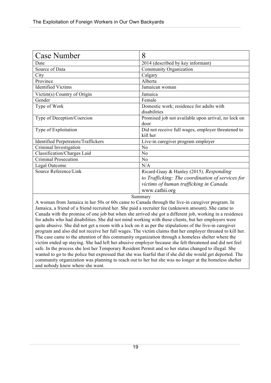| <b>Case Number</b>                                                                                    | 8                                                   |
|-------------------------------------------------------------------------------------------------------|-----------------------------------------------------|
| Date                                                                                                  | 2014 (described by key informant)                   |
| Source of Data                                                                                        | Community Organization                              |
| City                                                                                                  | Calgary                                             |
| Province                                                                                              | Alberta                                             |
| <b>Identified Victims</b>                                                                             | Jamaican woman                                      |
| Victim(s) Country of Origin                                                                           | Jamaica                                             |
| Gender                                                                                                | Female                                              |
| Type of Work                                                                                          | Domestic work; residence for adults with            |
|                                                                                                       | disabilities                                        |
| Type of Deception/Coercion                                                                            | Promised job not available upon arrival, no lock on |
|                                                                                                       | door                                                |
| Type of Exploitation                                                                                  | Did not receive full wages, employer threatened to  |
|                                                                                                       | kill her                                            |
| <b>Identified Perpetrators/Traffickers</b>                                                            | Live-in caregiver program employer                  |
| Criminal Investigation                                                                                | No                                                  |
| Classification/Charges Laid                                                                           | No                                                  |
| Criminal Prosecution                                                                                  | N <sub>0</sub>                                      |
| Legal Outcome                                                                                         | N/A                                                 |
| Source Reference/Link                                                                                 | Ricard-Guay & Hanley (2015). Responding             |
|                                                                                                       | to Trafficking: The coordination of services for    |
|                                                                                                       | victims of human trafficking in Canada.             |
|                                                                                                       | www.cathii.org                                      |
| Summary                                                                                               |                                                     |
| $\Delta$ woman from Jamaica in her 50s or 60s came to Canada through the live-in caregiver program In |                                                     |

a mean from Jamaica in her 50s or 60s came to Canada through the live-in caregiver program. In Jamaica, a friend of a friend recruited her. She paid a recruiter fee (unknown amount). She came to Canada with the promise of one job but when she arrived she got a different job, working in a residence for adults who had disabilities. She did not mind working with these clients, but her employers were quite abusive. She did not get a room with a lock on it as per the stipulations of the live-in caregiver program and also did not receive her full wages. The victim claims that her employer threated to kill her. The case came to the attention of this community organization through a homeless shelter where the victim ended up staying. She had left her abusive employer because she felt threatened and did not feel safe. In the process she lost her Temporary Resident Permit and so her status changed to illegal. She wanted to go to the police but expressed that she was fearful that if she did she would get deported. The community organization was planning to reach out to her but she was no longer at the homeless shelter and nobody knew where she went.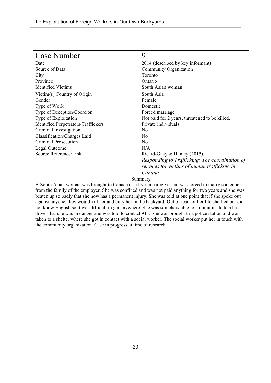| <b>Case Number</b>                         | 9                                              |
|--------------------------------------------|------------------------------------------------|
| Date                                       | 2014 (described by key informant)              |
| Source of Data                             | Community Organization                         |
| City                                       | Toronto                                        |
| Province                                   | Ontario                                        |
| <b>Identified Victims</b>                  | South Asian woman                              |
| Victim(s) Country of Origin                | South Asia                                     |
| Gender                                     | Female                                         |
| Type of Work                               | Domestic                                       |
| Type of Deception/Coercion                 | Forced marriage.                               |
| Type of Exploitation                       | Not paid for 2 years, threatened to be killed. |
| <b>Identified Perpetrators/Traffickers</b> | Private individuals                            |
| Criminal Investigation                     | No                                             |
| Classification/Charges Laid                | No                                             |
| Criminal Prosecution                       | No                                             |
| Legal Outcome                              | N/A                                            |
| Source Reference/Link                      | Ricard-Guay & Hanley (2015).                   |
|                                            | Responding to Trafficking: The coordination of |
|                                            | services for victims of human trafficking in   |
|                                            | Canada                                         |

A South Asian woman was brought to Canada as a live-in caregiver but was forced to marry someone from the family of the employer. She was confined and was not paid anything for two years and she was beaten up so badly that she now has a permanent injury. She was told at one point that if she spoke out against anyone, they would kill her and bury her in the backyard. Out of fear for her life she fled but did not know English so it was difficult to get anywhere. She was somehow able to communicate to a bus driver that she was in danger and was told to contact 911. She was brought to a police station and was taken to a shelter where she got in contact with a social worker. The social worker put her in touch with the community organization. Case in progress at time of research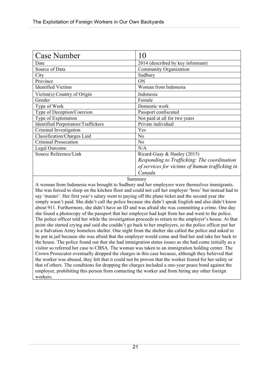| <b>Case Number</b>                         |                                                 |
|--------------------------------------------|-------------------------------------------------|
| Date                                       | 2014 (described by key informant)               |
| Source of Data                             | Community Organization                          |
| City                                       | Sudbury                                         |
| Province                                   | <b>ON</b>                                       |
| <b>Identified Victims</b>                  | Woman from Indonesia                            |
| Victim(s) Country of Origin                | Indonesia                                       |
| Gender                                     | Female                                          |
| Type of Work                               | Domestic work                                   |
| Type of Deception/Coercion                 | Passport confiscated                            |
| Type of Exploitation                       | Not paid at all for two years                   |
| <b>Identified Perpetrators/Traffickers</b> | Private individual                              |
| Criminal Investigation                     | Yes                                             |
| Classification/Charges Laid                | N <sub>0</sub>                                  |
| Criminal Prosecution                       | N <sub>0</sub>                                  |
| Legal Outcome                              | N/A                                             |
| Source Reference/Link                      | Ricard-Guay & Hanley (2015)                     |
|                                            | Responding to Trafficking: The coordination     |
|                                            | of services for victims of human trafficking in |
|                                            | Canada                                          |

A woman from Indonesia was brought to Sudbury and her employers were themselves immigrants. She was forced to sleep on the kitchen floor and could not call her employer 'boss' but instead had to say 'master'. Her first year's salary went to paying off the plane ticket and the second year she simply wasn't paid. She didn't call the police because she didn't speak English and also didn't know about 911. Furthermore, she didn't have an ID and was afraid she was committing a crime. One day she found a photocopy of the passport that her employer had kept from her and went to the police. The police officer told her while the investigation proceeds to return to the employer's house. At that point she started crying and said she couldn't go back to her employers, so the police officer put her in a Salvation Army homeless shelter. One night from the shelter she called the police and asked to be put in jail because she was afraid that the employer would come and find her and take her back to the house. The police found out that she had immigration status issues as she had come initially as a visitor so referred her case to CBSA. The woman was taken to an immigration holding center. The Crown Prosecutor eventually dropped the charges in this case because, although they believed that the worker was abused, they felt that it could not be proven that the worker feared for her safety or that of others. The conditions for dropping the charges included a one-year peace bond against the employer, prohibiting this person from contacting the worker and from hiring any other foreign workers.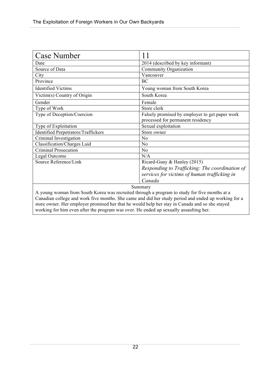| <b>Case Number</b>                                                                           | 11                                                                                  |
|----------------------------------------------------------------------------------------------|-------------------------------------------------------------------------------------|
| Date                                                                                         | 2014 (described by key informant)                                                   |
| Source of Data                                                                               | Community Organization                                                              |
| City                                                                                         | Vancouver                                                                           |
| Province                                                                                     | <b>BC</b>                                                                           |
| <b>Identified Victims</b>                                                                    | Young woman from South Korea                                                        |
| Victim(s) Country of Origin                                                                  | South Korea                                                                         |
| Gender                                                                                       | Female                                                                              |
| Type of Work                                                                                 | Store clerk                                                                         |
| Type of Deception/Coercion                                                                   | Falsely promised by employer to get paper work<br>processed for permanent residency |
| Type of Exploitation                                                                         | Sexual exploitation                                                                 |
| <b>Identified Perpetrators/Traffickers</b>                                                   | Store owner                                                                         |
| Criminal Investigation                                                                       | N <sub>0</sub>                                                                      |
| Classification/Charges Laid                                                                  | N <sub>o</sub>                                                                      |
| <b>Criminal Prosecution</b>                                                                  | N <sub>o</sub>                                                                      |
| Legal Outcome                                                                                | N/A                                                                                 |
| Source Reference/Link                                                                        | Ricard-Guay & Hanley (2015)                                                         |
|                                                                                              | Responding to Trafficking: The coordination of                                      |
|                                                                                              | services for victims of human trafficking in                                        |
|                                                                                              | Canada                                                                              |
| Summary                                                                                      |                                                                                     |
| A young woman from South Korea was recruited through a program to study for five months at a |                                                                                     |

Canadian college and work five months. She came and did her study period and ended up working for a store owner. Her employer promised her that he would help her stay in Canada and so she stayed working for him even after the program was over. He ended up sexually assaulting her.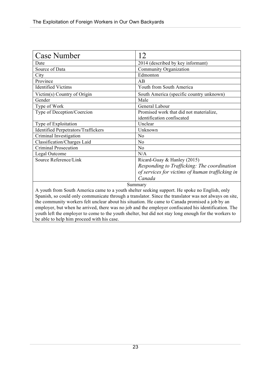| <b>Case Number</b>                                                                            | 12                                              |
|-----------------------------------------------------------------------------------------------|-------------------------------------------------|
| Date                                                                                          | 2014 (described by key informant)               |
| Source of Data                                                                                | Community Organization                          |
| City                                                                                          | Edmonton                                        |
| Province                                                                                      | AB                                              |
| <b>Identified Victims</b>                                                                     | Youth from South America                        |
| Victim(s) Country of Origin                                                                   | South America (specific country unknown)        |
| Gender                                                                                        | Male                                            |
| Type of Work                                                                                  | General Labour                                  |
| Type of Deception/Coercion                                                                    | Promised work that did not materialize,         |
|                                                                                               | identification confiscated                      |
| Type of Exploitation                                                                          | Unclear                                         |
| <b>Identified Perpetrators/Traffickers</b>                                                    | Unknown                                         |
| Criminal Investigation                                                                        | N <sub>o</sub>                                  |
| Classification/Charges Laid                                                                   | N <sub>o</sub>                                  |
| <b>Criminal Prosecution</b>                                                                   | N <sub>o</sub>                                  |
| Legal Outcome                                                                                 | N/A                                             |
| Source Reference/Link                                                                         | Ricard-Guay & Hanley (2015)                     |
|                                                                                               | Responding to Trafficking: The coordination     |
|                                                                                               | of services for victims of human trafficking in |
|                                                                                               | Canada                                          |
| Summary                                                                                       |                                                 |
| A youth from South America came to a youth shelter seeking support. He spoke no English, only |                                                 |

Spanish, so could only communicate through a translator. Since the translator was not always on site, the community workers felt unclear about his situation. He came to Canada promised a job by an employer, but when he arrived, there was no job and the employer confiscated his identification. The youth left the employer to come to the youth shelter, but did not stay long enough for the workers to be able to help him proceed with his case.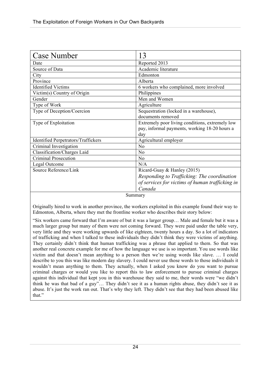| <b>Case Number</b>                         | 13                                              |
|--------------------------------------------|-------------------------------------------------|
| Date                                       | Reported 2013                                   |
| Source of Data                             | Academic literature                             |
| City                                       | Edmonton                                        |
| Province                                   | Alberta                                         |
| <b>Identified Victims</b>                  | 6 workers who complained, more involved         |
| Victim(s) Country of Origin                | Philippines                                     |
| Gender                                     | Men and Women                                   |
| Type of Work                               | Agriculture                                     |
| Type of Deception/Coercion                 | Sequestration (locked in a warehouse),          |
|                                            | documents removed                               |
| Type of Exploitation                       | Extremely poor living conditions, extremely low |
|                                            | pay, informal payments, working 18-20 hours a   |
|                                            | day                                             |
| <b>Identified Perpetrators/Traffickers</b> | Agricultural employer                           |
| Criminal Investigation                     | N <sub>0</sub>                                  |
| Classification/Charges Laid                | N <sub>0</sub>                                  |
| Criminal Prosecution                       | N <sub>0</sub>                                  |
| Legal Outcome                              | N/A                                             |
| Source Reference/Link                      | Ricard-Guay & Hanley (2015)                     |
|                                            | Responding to Trafficking: The coordination     |
|                                            | of services for victims of human trafficking in |
|                                            | Canada                                          |

Originally hired to work in another province, the workers exploited in this example found their way to Edmonton, Alberta, where they met the frontline worker who describes their story below:

"Six workers came forward that I'm aware of but it was a larger group… Male and female but it was a much larger group but many of them were not coming forward. They were paid under the table very, very little and they were working upwards of like eighteen, twenty hours a day. So a lot of indicators of trafficking and when I talked to these individuals they didn't think they were victims of anything. They certainly didn't think that human trafficking was a phrase that applied to them. So that was another real concrete example for me of how the language we use is so important. You use words like victim and that doesn't mean anything to a person then we're using words like slave. … I could describe to you this was like modern day slavery. I could never use those words to those individuals it wouldn't mean anything to them. They actually, when I asked you know do you want to pursue criminal charges or would you like to report this to law enforcement to pursue criminal charges against this individual that kept you in this warehouse they said to me, their words were "we didn't think he was that bad of a guy"… They didn't see it as a human rights abuse, they didn't see it as abuse. It's just the work ran out. That's why they left. They didn't see that they had been abused like that."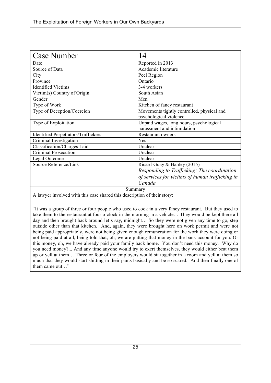| <b>Case Number</b>                         | 14                                              |
|--------------------------------------------|-------------------------------------------------|
| Date                                       | Reported in 2013                                |
| Source of Data                             | Academic literature                             |
| City                                       | Peel Region                                     |
| Province                                   | Ontario                                         |
| <b>Identified Victims</b>                  | 3-4 workers                                     |
| Victim(s) Country of Origin                | South Asian                                     |
| Gender                                     | Men                                             |
| Type of Work                               | Kitchen of fancy restaurant                     |
| Type of Deception/Coercion                 | Movements tightly controlled, physical and      |
|                                            | psychological violence                          |
| Type of Exploitation                       | Unpaid wages, long hours, psychological         |
|                                            | harassment and intimidation                     |
| <b>Identified Perpetrators/Traffickers</b> | Restaurant owners                               |
| Criminal Investigation                     | Yes                                             |
| Classification/Charges Laid                | Unclear                                         |
| <b>Criminal Prosecution</b>                | Unclear                                         |
| Legal Outcome                              | Unclear                                         |
| Source Reference/Link                      | Ricard-Guay & Hanley $(2015)$                   |
|                                            | Responding to Trafficking: The coordination     |
|                                            | of services for victims of human trafficking in |
|                                            | Canada                                          |

A lawyer involved with this case shared this description of their story:

"It was a group of three or four people who used to cook in a very fancy restaurant. But they used to take them to the restaurant at four o'clock in the morning in a vehicle… They would be kept there all day and then brought back around let's say, midnight… So they were not given any time to go, step outside other than that kitchen. And, again, they were brought here on work permit and were not being paid appropriately, were not being given enough remuneration for the work they were doing or not being paid at all, being told that, oh, we are putting that money in the bank account for you. Or this money, oh, we have already paid your family back home. You don't need this money. Why do you need money?... And any time anyone would try to exert themselves, they would either beat them up or yell at them… Three or four of the employers would sit together in a room and yell at them so much that they would start shitting in their pants basically and be so scared. And then finally one of them came out…"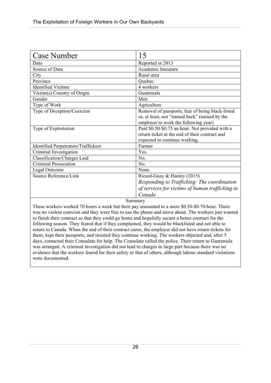| <b>Case Number</b>                                                                                  | 15                                               |
|-----------------------------------------------------------------------------------------------------|--------------------------------------------------|
| Date                                                                                                | Reported in 2013                                 |
| Source of Data                                                                                      | Academic literature                              |
| City                                                                                                | Rural area                                       |
| Province                                                                                            | Quebec                                           |
| <b>Identified Victims</b>                                                                           | 4 workers                                        |
| Victim(s) Country of Origin                                                                         | Guatemala                                        |
| Gender                                                                                              | Men                                              |
| Type of Work                                                                                        | Agriculture                                      |
| Type of Deception/Coercion                                                                          | Removal of passports, fear of being black-listed |
|                                                                                                     | or, at least, not "named back" (named by the     |
|                                                                                                     | employer to work the following year)             |
| Type of Exploitation                                                                                | Paid \$0.50-\$0.75 an hour. Not provided with a  |
|                                                                                                     | return ticket at the end of their contract and   |
|                                                                                                     | expected to continue working.                    |
| <b>Identified Perpetrators/Traffickers</b>                                                          | Farmer                                           |
| Criminal Investigation                                                                              | Yes.                                             |
| Classification/Charges Laid                                                                         | No.                                              |
| <b>Criminal Prosecution</b>                                                                         | No.                                              |
| Legal Outcome                                                                                       | None.                                            |
| Source Reference/Link                                                                               | Ricard-Guay & Hanley (2015)                      |
|                                                                                                     | Responding to Trafficking: The coordination      |
|                                                                                                     | of services for victims of human trafficking in  |
|                                                                                                     | Canada                                           |
| Summary                                                                                             |                                                  |
| These workers worked 70 hours a week but their pay amounted to a mere \$0.50-\$0.70/hour. There     |                                                  |
| was no violent coercion and they were free to use the phone and move about. The workers just wanted |                                                  |

to finish their contract so that they could go home and hopefully secure a better contract for the following season. They feared that if they complained, they would be blacklisted and not able to return to Canada. When the end of their contract came, the employer did not have return tickets for them, kept their passports, and insisted they continue working. The workers objected and, after 5 days, contacted their Consulate for help. The Consulate called the police. Their return to Guatemala was arranged. A criminal investigation did not lead to charges in large part because there was no evidence that the workers feared for their safety or that of others, although labour standard violations were documented.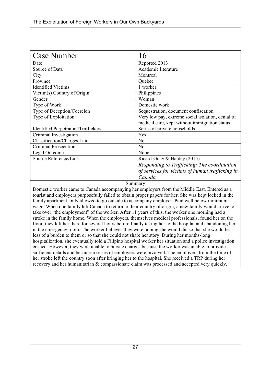| <b>Case Number</b>                                                                                    | 16                                                                                                 |
|-------------------------------------------------------------------------------------------------------|----------------------------------------------------------------------------------------------------|
| Date                                                                                                  | Reported 2013                                                                                      |
| Source of Data                                                                                        | Academic literature                                                                                |
| City                                                                                                  | Montreal                                                                                           |
| Province                                                                                              | Quebec                                                                                             |
| <b>Identified Victims</b>                                                                             | 1 worker                                                                                           |
| Victim(s) Country of Origin                                                                           | Philippines                                                                                        |
| Gender                                                                                                | Woman                                                                                              |
| Type of Work                                                                                          | Domestic work                                                                                      |
| Type of Deception/Coercion                                                                            | Sequestration, document confiscation                                                               |
| Type of Exploitation                                                                                  | Very low pay, extreme social isolation, denial of<br>medical care, kept without immigration status |
| <b>Identified Perpetrators/Traffickers</b>                                                            | Series of private households                                                                       |
| Criminal Investigation                                                                                | Yes                                                                                                |
| Classification/Charges Laid                                                                           | N <sub>0</sub>                                                                                     |
| Criminal Prosecution                                                                                  | N <sub>0</sub>                                                                                     |
| Legal Outcome                                                                                         | None                                                                                               |
| Source Reference/Link                                                                                 | Ricard-Guay & Hanley (2015)                                                                        |
|                                                                                                       | Responding to Trafficking: The coordination                                                        |
|                                                                                                       | of services for victims of human trafficking in                                                    |
|                                                                                                       | Canada                                                                                             |
| Summary                                                                                               |                                                                                                    |
| Domestic worker came to Canada accompanying her employers from the Middle East. Entered as a          |                                                                                                    |
| tourist and employers purposefully failed to obtain proper papers for her. She was kept locked in the |                                                                                                    |

and employers purposefully failed to obtain proper papers for her. She was kept locked in the family apartment, only allowed to go outside to accompany employer. Paid well below minimum wage. When one family left Canada to return to their country of origin, a new family would arrive to take over "the employment" of the worker. After 11 years of this, the worker one morning had a stroke in the family home. When the employers, themselves medical professionals, found her on the floor, they left her there for several hours before finally taking her to the hospital and abandoning her in the emergency room. The worker believes they were hoping she would die so that she would be less of a burden to them or so that she could not share her story. During her months-long hospitalization, she eventually told a Filipino hospital worker her situation and a police investigation ensued. However, they were unable to pursue charges because the worker was unable to provide sufficient details and because a series of employers were involved. The employers from the time of her stroke left the country soon after bringing her to the hospital. She received a TRP during her recovery and her humanitarian & compassionate claim was processed and accepted very quickly.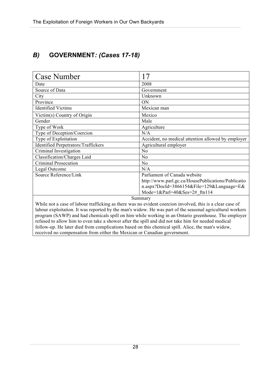## *B)* **GOVERNMENT***: (Cases 17-18)*

| <b>Case Number</b>                                                                                        | 17                                                 |
|-----------------------------------------------------------------------------------------------------------|----------------------------------------------------|
| Date                                                                                                      | 2008                                               |
| Source of Data                                                                                            | Government                                         |
| City                                                                                                      | Unknown                                            |
| Province                                                                                                  | <b>ON</b>                                          |
| <b>Identified Victims</b>                                                                                 | Mexican man                                        |
| Victim(s) Country of Origin                                                                               | Mexico                                             |
| Gender                                                                                                    | Male                                               |
| Type of Work                                                                                              | Agriculture                                        |
| Type of Deception/Coercion                                                                                | N/A                                                |
| Type of Exploitation                                                                                      | Accident, no medical attention allowed by employer |
| <b>Identified Perpetrators/Traffickers</b>                                                                | Agricultural employer                              |
| Criminal Investigation                                                                                    | N <sub>0</sub>                                     |
| Classification/Charges Laid                                                                               | No                                                 |
| <b>Criminal Prosecution</b>                                                                               | N <sub>0</sub>                                     |
| Legal Outcome                                                                                             | N/A                                                |
| Source Reference/Link                                                                                     | Parliament of Canada website                       |
|                                                                                                           | http://www.parl.gc.ca/HousePublications/Publicatio |
|                                                                                                           | n.aspx?DocId=3866154&File=129&Language=E&          |
|                                                                                                           | Mode= $1&Par1=40&Ses=2#$ ftn114                    |
| Summary                                                                                                   |                                                    |
| While not a case of labour trafficking as there was no evident coercion involved, this is a clear case of |                                                    |
| labour exploitation. It was reported by the man's widow. He was part of the seasonal agricultural workers |                                                    |
| program (SAWP) and had chemicals spill on him while working in an Ontario greenhouse. The employer        |                                                    |
| refused to allow him to even take a shower after the spill and did not take him for needed medical        |                                                    |

follow-up. He later died from complications based on this chemical spill. Alice, the man's widow, received no compensation from either the Mexican or Canadian government.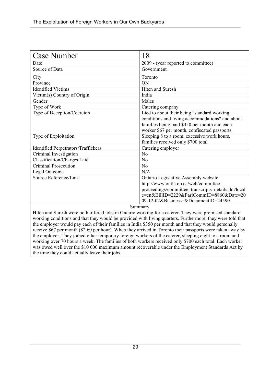| <b>Case Number</b>                                                                                                                                                                                                                                                                                                                                 | 18                                                                                                                                                                                                                     |
|----------------------------------------------------------------------------------------------------------------------------------------------------------------------------------------------------------------------------------------------------------------------------------------------------------------------------------------------------|------------------------------------------------------------------------------------------------------------------------------------------------------------------------------------------------------------------------|
| Date                                                                                                                                                                                                                                                                                                                                               | 2009 - (year reported to committee)                                                                                                                                                                                    |
| Source of Data                                                                                                                                                                                                                                                                                                                                     | Government                                                                                                                                                                                                             |
| City                                                                                                                                                                                                                                                                                                                                               | Toronto                                                                                                                                                                                                                |
| Province                                                                                                                                                                                                                                                                                                                                           | ON                                                                                                                                                                                                                     |
| <b>Identified Victims</b>                                                                                                                                                                                                                                                                                                                          | Hiten and Suresh                                                                                                                                                                                                       |
| Victim(s) Country of Origin                                                                                                                                                                                                                                                                                                                        | India                                                                                                                                                                                                                  |
| Gender                                                                                                                                                                                                                                                                                                                                             | Males                                                                                                                                                                                                                  |
| Type of Work                                                                                                                                                                                                                                                                                                                                       | Catering company                                                                                                                                                                                                       |
| Type of Deception/Coercion                                                                                                                                                                                                                                                                                                                         | Lied to about their being "standard working<br>conditions and living accommodations" and about<br>families being paid \$350 per month and each<br>worker \$67 per month, confiscated passports                         |
| Type of Exploitation                                                                                                                                                                                                                                                                                                                               | Sleeping 8 to a room, excessive work hours,<br>families received only \$700 total                                                                                                                                      |
| <b>Identified Perpetrators/Traffickers</b>                                                                                                                                                                                                                                                                                                         | Catering employer                                                                                                                                                                                                      |
| Criminal Investigation                                                                                                                                                                                                                                                                                                                             | N <sub>0</sub>                                                                                                                                                                                                         |
| Classification/Charges Laid                                                                                                                                                                                                                                                                                                                        | N <sub>0</sub>                                                                                                                                                                                                         |
| <b>Criminal Prosecution</b>                                                                                                                                                                                                                                                                                                                        | N <sub>0</sub>                                                                                                                                                                                                         |
| Legal Outcome                                                                                                                                                                                                                                                                                                                                      | N/A                                                                                                                                                                                                                    |
| Source Reference/Link                                                                                                                                                                                                                                                                                                                              | Ontario Legislative Assembly website<br>http://www.ontla.on.ca/web/committee-<br>proceedings/committee transcripts details.do?local<br>e=en&BillID=2229&ParlCommID=8860&Date=20<br>09-12-02&Business=&DocumentID=24590 |
| Summary<br>Hiten and Suresh were both offered jobs in Ontario working for a caterer. They were promised standard<br>the contract of the contract of the contract of the contract of the contract of the contract of the contract of the contract of the contract of the contract of the contract of the contract of the contract of the contract o |                                                                                                                                                                                                                        |

working conditions and that they would be provided with living quarters. Furthermore, they were told that the employer would pay each of their families in India \$350 per month and that they would personally

receive \$67 per month (\$2.60 per hour). When they arrived in Toronto their passports were taken away by the employer. They joined other temporary foreign workers of the caterer, sleeping eight to a room and working over 70 hours a week. The families of both workers received only \$700 each total. Each worker was owed well over the \$10 000 maximum amount recoverable under the Employment Standards Act by the time they could actually leave their jobs.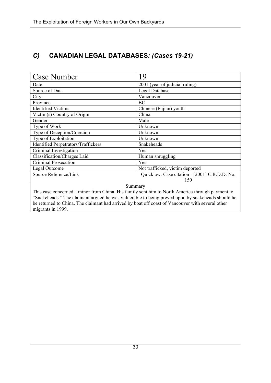## *C)* **CANADIAN LEGAL DATABASES***: (Cases 19-21)*

| <b>Case Number</b>                                                                                                                                                                                                                                                                                                                      | 19                                            |
|-----------------------------------------------------------------------------------------------------------------------------------------------------------------------------------------------------------------------------------------------------------------------------------------------------------------------------------------|-----------------------------------------------|
| Date                                                                                                                                                                                                                                                                                                                                    | 2001 (year of judicial ruling)                |
| Source of Data                                                                                                                                                                                                                                                                                                                          | Legal Database                                |
| City                                                                                                                                                                                                                                                                                                                                    | Vancouver                                     |
| Province                                                                                                                                                                                                                                                                                                                                | <b>BC</b>                                     |
| <b>Identified Victims</b>                                                                                                                                                                                                                                                                                                               | Chinese (Fujian) youth                        |
| Victim(s) Country of Origin                                                                                                                                                                                                                                                                                                             | China                                         |
| Gender                                                                                                                                                                                                                                                                                                                                  | Male                                          |
| Type of Work                                                                                                                                                                                                                                                                                                                            | Unknown                                       |
| Type of Deception/Coercion                                                                                                                                                                                                                                                                                                              | Unknown                                       |
| Type of Exploitation                                                                                                                                                                                                                                                                                                                    | Unknown                                       |
| <b>Identified Perpetrators/Traffickers</b>                                                                                                                                                                                                                                                                                              | Snakeheads                                    |
| Criminal Investigation                                                                                                                                                                                                                                                                                                                  | Yes                                           |
| Classification/Charges Laid                                                                                                                                                                                                                                                                                                             | Human smuggling                               |
| Criminal Prosecution                                                                                                                                                                                                                                                                                                                    | Yes                                           |
| Legal Outcome                                                                                                                                                                                                                                                                                                                           | Not trafficked, victim deported               |
| Source Reference/Link                                                                                                                                                                                                                                                                                                                   | Quicklaw: Case citation - [2001] C.R.D.D. No. |
|                                                                                                                                                                                                                                                                                                                                         | 150                                           |
| Summary<br>This case concerned a minor from China. His family sent him to North America through payment to<br>"Snakeheads." The claimant argued he was vulnerable to being preyed upon by snakeheads should he<br>be returned to China. The claimant had arrived by boat off coast of Vancouver with several other<br>migrants in 1999. |                                               |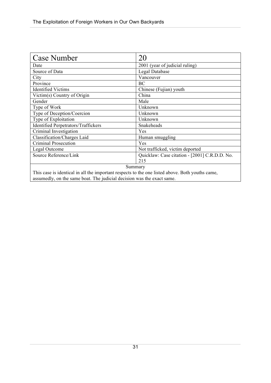| Case Number                                                                                                                                                               | 20                                            |
|---------------------------------------------------------------------------------------------------------------------------------------------------------------------------|-----------------------------------------------|
| Date                                                                                                                                                                      | 2001 (year of judicial ruling)                |
| Source of Data                                                                                                                                                            | Legal Database                                |
| City                                                                                                                                                                      | Vancouver                                     |
| Province                                                                                                                                                                  | BC                                            |
| <b>Identified Victims</b>                                                                                                                                                 | Chinese (Fujian) youth                        |
| Victim(s) Country of Origin                                                                                                                                               | China                                         |
| Gender                                                                                                                                                                    | Male                                          |
| Type of Work                                                                                                                                                              | Unknown                                       |
| Type of Deception/Coercion                                                                                                                                                | Unknown                                       |
| Type of Exploitation                                                                                                                                                      | Unknown                                       |
| <b>Identified Perpetrators/Traffickers</b>                                                                                                                                | Snakeheads                                    |
| Criminal Investigation                                                                                                                                                    | Yes                                           |
| Classification/Charges Laid                                                                                                                                               | Human smuggling                               |
| Criminal Prosecution                                                                                                                                                      | Yes                                           |
| Legal Outcome                                                                                                                                                             | Not trafficked, victim deported               |
| Source Reference/Link                                                                                                                                                     | Quicklaw: Case citation - [2001] C.R.D.D. No. |
|                                                                                                                                                                           | 215                                           |
| Summary                                                                                                                                                                   |                                               |
| This case is identical in all the important respects to the one listed above. Both youths came,<br>assumedly, on the same boat. The judicial decision was the exact same. |                                               |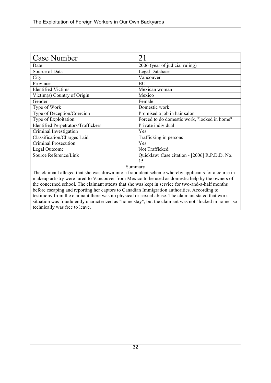| <b>Case Number</b>                         | 21                                            |
|--------------------------------------------|-----------------------------------------------|
| Date                                       | 2006 (year of judicial ruling)                |
| Source of Data                             | Legal Database                                |
| City                                       | Vancouver                                     |
| Province                                   | ВC                                            |
| <b>Identified Victims</b>                  | Mexican woman                                 |
| Victim(s) Country of Origin                | Mexico                                        |
| Gender                                     | Female                                        |
| Type of Work                               | Domestic work                                 |
| Type of Deception/Coercion                 | Promised a job in hair salon                  |
| Type of Exploitation                       | Forced to do domestic work, "locked in home"  |
| <b>Identified Perpetrators/Traffickers</b> | Private individual                            |
| Criminal Investigation                     | Yes                                           |
| Classification/Charges Laid                | Trafficking in persons                        |
| Criminal Prosecution                       | Yes                                           |
| Legal Outcome                              | Not Trafficked                                |
| Source Reference/Link                      | Quicklaw: Case citation - [2006] R.P.D.D. No. |
|                                            | 15                                            |
| $C_{111222222221}$                         |                                               |

The claimant alleged that she was drawn into a fraudulent scheme whereby applicants for a course in makeup artistry were lured to Vancouver from Mexico to be used as domestic help by the owners of the concerned school. The claimant attests that she was kept in service for two-and-a-half months before escaping and reporting her captors to Canadian Immigration authorities. According to testimony from the claimant there was no physical or sexual abuse. The claimant stated that work situation was fraudulently characterized as "home stay", but the claimant was not "locked in home" so technically was free to leave.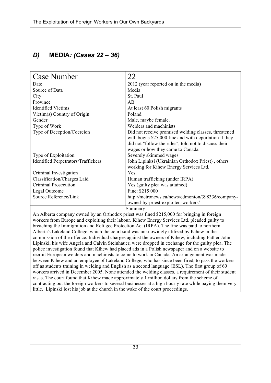## *D)* **MEDIA***: (Cases 22 – 36)*

| <b>Case Number</b>                                                                             | 22                                                    |
|------------------------------------------------------------------------------------------------|-------------------------------------------------------|
| Date                                                                                           | 2012 (year reported on in the media)                  |
| Source of Data                                                                                 | Media                                                 |
| City                                                                                           | St. Paul                                              |
| Province                                                                                       | AB                                                    |
| <b>Identified Victims</b>                                                                      | At least 60 Polish migrants                           |
| Victim(s) Country of Origin                                                                    | Poland                                                |
| Gender                                                                                         | Male, maybe female.                                   |
| Type of Work                                                                                   | Welders and machinists                                |
| Type of Deception/Coercion                                                                     | Did not receive promised welding classes, threatened  |
|                                                                                                | with bogus \$25,000 fine and with deportation if they |
|                                                                                                | did not "follow the rules", told not to discuss their |
|                                                                                                | wages or how they came to Canada                      |
| Type of Exploitation                                                                           | Severely skimmed wages                                |
| <b>Identified Perpetrators/Traffickers</b>                                                     | John Lipinksi (Ukrainian Orthodox Priest), others     |
|                                                                                                | working for Kihew Energy Services Ltd.                |
| Criminal Investigation                                                                         | Yes                                                   |
| Classification/Charges Laid                                                                    | Human trafficking (under IRPA)                        |
| <b>Criminal Prosecution</b>                                                                    | Yes (guilty plea was attained)                        |
| Legal Outcome                                                                                  | Fine: \$215 000                                       |
| Source Reference/Link                                                                          | http://metronews.ca/news/edmonton/398336/company-     |
|                                                                                                | owned-by-priest-exploited-workers/                    |
| Summary                                                                                        |                                                       |
| An Alberta company owned by an Orthodox priest was fined \$215,000 for bringing in foreign     |                                                       |
| workers from Europe and exploiting their labour. Kibew Energy Services I td. pleaded quilty to |                                                       |

kers from Europe and exploiting their labour. Kihew Energy Services Ltd. pleaded guilty to breaching the Immigration and Refugee Protection Act (IRPA). The fine was paid to northern Alberta's Lakeland College, which the court said was unknowingly utilized by Kihew in the commission of the offence. Individual charges against the owners of Kihew, including Father John Lipinski, his wife Angela and Calvin Steinhauer, were dropped in exchange for the guilty plea. The police investigation found that Kihew had placed ads in a Polish newspaper and on a website to recruit European welders and machinists to come to work in Canada. An arrangement was made between Kihew and an employee of Lakeland College, who has since been fired, to pass the workers off as students training in welding and English as a second language (ESL). The first group of 60 workers arrived in December 2005. None attended the welding classes, a requirement of their student visas. The court found that Kihew made approximately 1 million dollars from the scheme of contracting out the foreign workers to several businesses at a high hourly rate while paying them very little. Lipinski lost his job at the church in the wake of the court proceedings.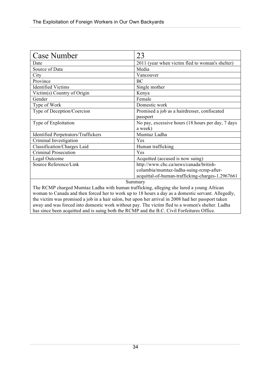| <b>Case Number</b>                                                                                | 23                                                |
|---------------------------------------------------------------------------------------------------|---------------------------------------------------|
| Date                                                                                              | 2011 (year when victim fled to woman's shelter)   |
| Source of Data                                                                                    | Media                                             |
| City                                                                                              | Vancouver                                         |
| Province                                                                                          | <b>BC</b>                                         |
| <b>Identified Victims</b>                                                                         | Single mother                                     |
| Victim(s) Country of Origin                                                                       | Kenya                                             |
| Gender                                                                                            | Female                                            |
| Type of Work                                                                                      | Domestic work                                     |
| Type of Deception/Coercion                                                                        | Promised a job as a hairdresser, confiscated      |
|                                                                                                   | passport                                          |
| Type of Exploitation                                                                              | No pay, excessive hours (18 hours per day, 7 days |
|                                                                                                   | a week)                                           |
| <b>Identified Perpetrators/Traffickers</b>                                                        | Mumtaz Ladha                                      |
| Criminal Investigation                                                                            | Yes                                               |
| Classification/Charges Laid                                                                       | Human trafficking                                 |
| Criminal Prosecution                                                                              | Yes                                               |
| Legal Outcome                                                                                     | Acquitted (accused is now suing)                  |
| Source Reference/Link                                                                             | http://www.cbc.ca/news/canada/british-            |
|                                                                                                   | columbia/mumtaz-ladha-suing-rcmp-after-           |
|                                                                                                   | acquittal-of-human-trafficking-charges-1.2967661  |
| Summary                                                                                           |                                                   |
| The RCMP charged Mumtaz Ladha with human trafficking, alleging she lured a young African          |                                                   |
| woman to Canada and then forced her to work up to 18 hours a day as a domestic servant. Allegedly |                                                   |

woman to Canada and then forced her to work up to 18 hours a day as a domestic servant. Allegedly, the victim was promised a job in a hair salon, but upon her arrival in 2008 had her passport taken away and was forced into domestic work without pay. The victim fled to a women's shelter. Ladha has since been acquitted and is suing both the RCMP and the B.C. Civil Forfeitures Office.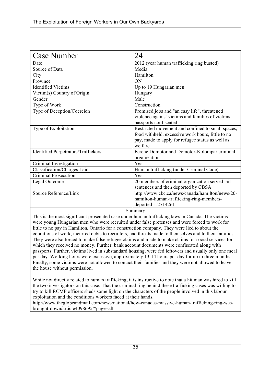| <b>Case Number</b>                         | 24                                                |
|--------------------------------------------|---------------------------------------------------|
| Date                                       | 2012 (year human trafficking ring busted)         |
| Source of Data                             | Media                                             |
| City                                       | Hamilton                                          |
| Province                                   | <b>ON</b>                                         |
| <b>Identified Victims</b>                  | Up to 19 Hungarian men                            |
| Victim(s) Country of Origin                | Hungary                                           |
| Gender                                     | Male                                              |
| Type of Work                               | Construction                                      |
| Type of Deception/Coercion                 | Promised jobs and "an easy life", threatened      |
|                                            | violence against victims and families of victims, |
|                                            | passports confiscated                             |
| Type of Exploitation                       | Restricted movement and confined to small spaces, |
|                                            | food withheld, excessive work hours, little to no |
|                                            | pay, made to apply for refugee status as well as  |
|                                            | welfare                                           |
| <b>Identified Perpetrators/Traffickers</b> | Ferenc Domotor and Domotor-Kolompar criminal      |
|                                            | organization                                      |
| Criminal Investigation                     | Yes                                               |
| Classification/Charges Laid                | Human trafficking (under Criminal Code)           |
| Criminal Prosecution                       | Yes                                               |
| Legal Outcome                              | 20 members of criminal organization served jail   |
|                                            | sentences and then deported by CBSA               |
| Source Reference/Link                      | http://www.cbc.ca/news/canada/hamilton/news/20-   |
|                                            | hamilton-human-trafficking-ring-members-          |
|                                            | deported-1.2714261                                |

This is the most significant prosecuted case under human trafficking laws in Canada. The victims were young Hungarian men who were recruited under false pretenses and were forced to work for little to no pay in Hamilton, Ontario for a construction company. They were lied to about the conditions of work, incurred debts to recruiters, had threats made to themselves and to their families. They were also forced to make false refugee claims and made to make claims for social services for which they received no money. Further, bank account documents were confiscated along with passports. Further, victims lived in substandard housing, were fed leftovers and usually only one meal per day. Working hours were excessive, approximately 13-14 hours per day for up to three months. Finally, some victims were not allowed to contact their families and they were not allowed to leave the house without permission.

While not directly related to human trafficking, it is instructive to note that a hit man was hired to kill the two investigators on this case. That the criminal ring behind these trafficking cases was willing to try to kill RCMP officers sheds some light on the characters of the people involved in this labour exploitation and the conditions workers faced at their hands.

http://www.theglobeandmail.com/news/national/how-canadas-massive-human-trafficking-ring-wasbrought-down/article4098695/?page=all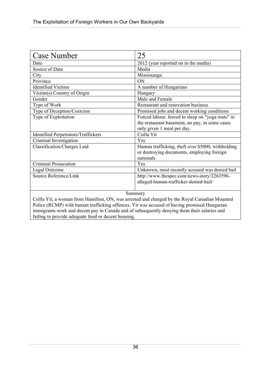| Case Number                                                                                   | 25                                                |
|-----------------------------------------------------------------------------------------------|---------------------------------------------------|
| Date                                                                                          | 2012 (year reported on in the media)              |
| Source of Data                                                                                | Media                                             |
| City                                                                                          | Mississauga                                       |
| Province                                                                                      | ON                                                |
| <b>Identified Victims</b>                                                                     | A number of Hungarians                            |
| Victim(s) Country of Origin                                                                   | Hungary                                           |
| Gender                                                                                        | Male and Female                                   |
| Type of Work                                                                                  | Restaurant and renovation business                |
| Type of Deception/Coercion                                                                    | Promised jobs and decent working conditions       |
| Type of Exploitation                                                                          | Forced labour, forced to sleep on "yoga mats" in  |
|                                                                                               | the restaurant basement, no pay, in some cases    |
|                                                                                               | only given 1 meal per day.                        |
| <b>Identified Perpetrators/Traffickers</b>                                                    | Csilla Yit                                        |
| Criminal Investigation                                                                        | Yes                                               |
| Classification/Charges Laid                                                                   | Human trafficking, theft over \$5000, withholding |
|                                                                                               | or destroying documents, employing foreign        |
|                                                                                               | nationals                                         |
| Criminal Prosecution                                                                          | Yes                                               |
| Legal Outcome                                                                                 | Unknown, most recently accused was denied bail    |
| Source Reference/Link                                                                         | http://www.thespec.com/news-story/2263596-        |
|                                                                                               | alleged-human-trafficker-denied-bail/             |
|                                                                                               |                                                   |
| Summary                                                                                       |                                                   |
| Csilla Yit, a woman from Hamilton, ON, was arrested and charged by the Royal Canadian Mounted |                                                   |
| Police (RCMP) with human trafficking offences. Yit was accused of having promised Hungarian   |                                                   |
| immigrants work and decent pay in Canada and of subsequently denying them their salaries and  |                                                   |
| failing to provide adequate food or decent housing.                                           |                                                   |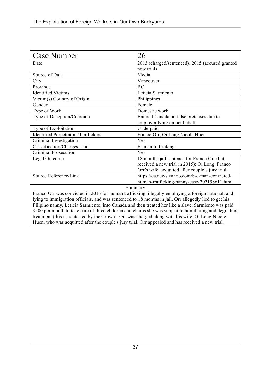| <b>Case Number</b>                                                                                    | 26                                               |
|-------------------------------------------------------------------------------------------------------|--------------------------------------------------|
| Date                                                                                                  | 2013 (charged/sentenced); 2015 (accused granted  |
|                                                                                                       | new trial)                                       |
| Source of Data                                                                                        | Media                                            |
| City                                                                                                  | Vancouver                                        |
| Province                                                                                              | BC                                               |
| <b>Identified Victims</b>                                                                             | Leticia Sarmiento                                |
| Victim(s) Country of Origin                                                                           | Philippines                                      |
| Gender                                                                                                | Female                                           |
| Type of Work                                                                                          | Domestic work                                    |
| Type of Deception/Coercion                                                                            | Entered Canada on false pretenses due to         |
|                                                                                                       | employer lying on her behalf                     |
| Type of Exploitation                                                                                  | Underpaid                                        |
| <b>Identified Perpetrators/Traffickers</b>                                                            | Franco Orr, Oi Long Nicole Huen                  |
| Criminal Investigation                                                                                | Yes                                              |
| Classification/Charges Laid                                                                           | Human trafficking                                |
| <b>Criminal Prosecution</b>                                                                           | Yes                                              |
| Legal Outcome                                                                                         | 18 months jail sentence for Franco Orr (but      |
|                                                                                                       | received a new trial in 2015); Oi Long, Franco   |
|                                                                                                       | Orr's wife, acquitted after couple's jury trial. |
| Source Reference/Link                                                                                 | https://ca.news.yahoo.com/b-c-man-convicted-     |
|                                                                                                       | human-trafficking-nanny-case-202158611.html      |
| Summary                                                                                               |                                                  |
| Franco Orr was convicted in 2013 for human trafficking, illegally employing a foreign national, and   |                                                  |
| lying to immigration officials, and was sentenced to 18 months in jail. Orr allegedly lied to get his |                                                  |
| Filipino nanny, Leticia Sarmiento, into Canada and then treated her like a slave. Sarmiento was paid  |                                                  |

Filipino nanny, Leticia Sarmiento, into Canada and then treated her like a slave. Sarmiento was paid \$500 per month to take care of three children and claims she was subject to humiliating and degrading treatment (this is contested by the Crown). Orr was charged along with his wife, Oi Long Nicole Huen, who was acquitted after the couple's jury trial. Orr appealed and has received a new trial.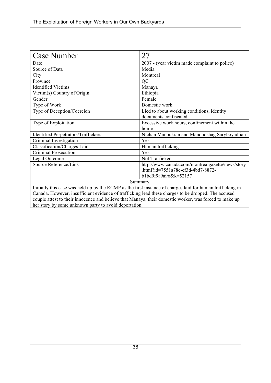| <b>Case Number</b>                                                                                         | 27                                               |
|------------------------------------------------------------------------------------------------------------|--------------------------------------------------|
| Date                                                                                                       | 2007 - (year victim made complaint to police)    |
| Source of Data                                                                                             | Media                                            |
| City                                                                                                       | Montreal                                         |
| Province                                                                                                   | QC                                               |
| <b>Identified Victims</b>                                                                                  | Manaya                                           |
| Victim(s) Country of Origin                                                                                | Ethiopia                                         |
| Gender                                                                                                     | Female                                           |
| Type of Work                                                                                               | Domestic work                                    |
| Type of Deception/Coercion                                                                                 | Lied to about working conditions, identity       |
|                                                                                                            | documents confiscated.                           |
| Type of Exploitation                                                                                       | Excessive work hours, confinement within the     |
|                                                                                                            | home                                             |
| <b>Identified Perpetrators/Traffickers</b>                                                                 | Nichan Manoukian and Manoudshag Saryboyadjian    |
| Criminal Investigation                                                                                     | Yes                                              |
| Classification/Charges Laid                                                                                | Human trafficking                                |
| <b>Criminal Prosecution</b>                                                                                | Yes                                              |
| Legal Outcome                                                                                              | Not Trafficked                                   |
| Source Reference/Link                                                                                      | http://www.canada.com/montrealgazette/news/story |
|                                                                                                            | .html?id=7551a78e-cf3d-4bd7-8872-                |
|                                                                                                            | b1bd9f9a9a96&k=52157                             |
| Summary                                                                                                    |                                                  |
| Initially this case was held up by the RCMP as the first instance of charges laid for human trafficking in |                                                  |
| Canada. However, insufficient evidence of trafficking lead these charges to be dronned. The accused        |                                                  |

Canada. However, insufficient evidence of trafficking lead these charges to be dropped. The accused couple attest to their innocence and believe that Manaya, their domestic worker, was forced to make up her story by some unknown party to avoid deportation.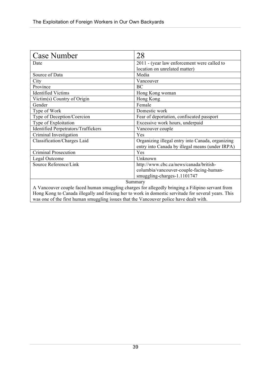| <b>Case Number</b>                                                                                  | 28                                                                                                  |
|-----------------------------------------------------------------------------------------------------|-----------------------------------------------------------------------------------------------------|
| Date                                                                                                | 2011 - (year law enforcement were called to                                                         |
|                                                                                                     | location on unrelated matter)                                                                       |
| Source of Data                                                                                      | Media                                                                                               |
| City                                                                                                | Vancouver                                                                                           |
| Province                                                                                            | BC                                                                                                  |
| <b>Identified Victims</b>                                                                           | Hong Kong woman                                                                                     |
| Victim(s) Country of Origin                                                                         | Hong Kong                                                                                           |
| Gender                                                                                              | Female                                                                                              |
| Type of Work                                                                                        | Domestic work                                                                                       |
| Type of Deception/Coercion                                                                          | Fear of deportation, confiscated passport                                                           |
| Type of Exploitation                                                                                | Excessive work hours, underpaid                                                                     |
| <b>Identified Perpetrators/Traffickers</b>                                                          | Vancouver couple                                                                                    |
| Criminal Investigation                                                                              | Yes                                                                                                 |
| Classification/Charges Laid                                                                         | Organizing illegal entry into Canada, organizing<br>entry into Canada by illegal means (under IRPA) |
| Criminal Prosecution                                                                                | Yes                                                                                                 |
| Legal Outcome                                                                                       | Unknown                                                                                             |
| Source Reference/Link                                                                               | http://www.cbc.ca/news/canada/british-                                                              |
|                                                                                                     | columbia/vancouver-couple-facing-human-                                                             |
|                                                                                                     | smuggling-charges-1.1101747                                                                         |
| Summary                                                                                             |                                                                                                     |
| A Vancouver couple faced human smuggling charges for allegedly bringing a Filipino servant from     |                                                                                                     |
| Hong Kong to Canada illegally and forcing her to work in domestic servitude for several years. This |                                                                                                     |

was one of the first human smuggling issues that the Vancouver police have dealt with.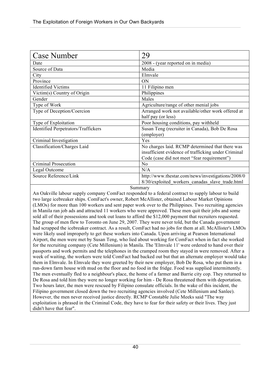| <b>Case Number</b>                         | 29                                                                                                   |
|--------------------------------------------|------------------------------------------------------------------------------------------------------|
| Date                                       | 2008 - (year reported on in media)                                                                   |
| Source of Data                             | Media                                                                                                |
| City                                       | Elmvale                                                                                              |
| Province                                   | ON                                                                                                   |
| <b>Identified Victims</b>                  | 11 Filipino men                                                                                      |
| Victim(s) Country of Origin                | Philippines                                                                                          |
| Gender                                     | Males                                                                                                |
| Type of Work                               | Agriculture/range of other menial jobs                                                               |
| Type of Deception/Coercion                 | Arranged work not available/other work offered at<br>half pay (or less)                              |
| Type of Exploitation                       | Poor housing conditions, pay withheld                                                                |
| <b>Identified Perpetrators/Traffickers</b> | Susan Teng (recruiter in Canada), Bob De Rosa                                                        |
|                                            | (employer)                                                                                           |
| Criminal Investigation                     | Yes                                                                                                  |
| Classification/Charges Laid                | No charges laid. RCMP determined that there was                                                      |
|                                            | insufficient evidence of trafficking under Criminal                                                  |
|                                            | Code (case did not meet "fear requirement")                                                          |
| <b>Criminal Prosecution</b>                | N <sub>0</sub>                                                                                       |
| Legal Outcome                              | N/A                                                                                                  |
| Source Reference/Link                      | http://www.thestar.com/news/investigations/2008/0<br>8/30/exploited workers canadas slave trade.html |

An Oakville labour supply company ComFact responded to a federal contract to supply labour to build two large icebreaker ships. ComFact's owner, Robert McAllister, obtained Labour Market Opinions (LMOs) for more than 100 workers and sent paper work over to the Philippines. Two recruiting agencies in Manila ran job ads and attracted 11 workers who were approved. These men quit their jobs and some sold all of their possessions and took out loans to afford the \$12,000 payment that recruiters requested. The group of men flew to Toronto on June 29, 2007. They were never told, but the Canada government had scrapped the icebreaker contract. As a result, ComFact had no jobs for them at all. McAllister's LMOs were likely used improperly to get these workers into Canada. Upon arriving at Pearson International Airport, the men were met by Susan Teng, who lied about working for ComFact when in fact she worked for the recruiting company (Cete Millenium) in Manila. The 'Elmvale 11' were ordered to hand over their passports and work permits and the telephones in the cramped room they stayed in were removed. After a week of waiting, the workers were told ComFact had backed out but that an alternate employer would take them in Elmvale. In Elmvale they were greeted by their new employer, Bob De Rosa, who put them in a run-down farm house with mud on the floor and no food in the fridge. Food was supplied intermittently. The men eventually fled to a neighbour's place, the home of a farmer and Barrie city cop. They returned to De Rosa and told him they were no longer working for him - De Rosa threatened them with deportation. Two hours later, the men were rescued by Filipino consulate officials. In the wake of this incident, the Filipino government closed down the two recruiting agencies involved (Cete Millenium and Sanlee). However, the men never received justice directly. RCMP Constable Julie Meeks said "The way exploitation is phrased in the Criminal Code, they have to fear for their safety or their lives. They just didn't have that fear".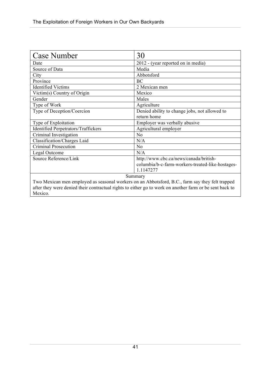| <b>Case Number</b>                                                                                      | 30                                               |
|---------------------------------------------------------------------------------------------------------|--------------------------------------------------|
| Date                                                                                                    | 2012 - (year reported on in media)               |
| Source of Data                                                                                          | Media                                            |
| City                                                                                                    | Abbotsford                                       |
| Province                                                                                                | <b>BC</b>                                        |
| <b>Identified Victims</b>                                                                               | 2 Mexican men                                    |
| Victim(s) Country of Origin                                                                             | Mexico                                           |
| Gender                                                                                                  | Males                                            |
| Type of Work                                                                                            | Agriculture                                      |
| Type of Deception/Coercion                                                                              | Denied ability to change jobs, not allowed to    |
|                                                                                                         | return home                                      |
| Type of Exploitation                                                                                    | Employer was verbally abusive                    |
| <b>Identified Perpetrators/Traffickers</b>                                                              | Agricultural employer                            |
| Criminal Investigation                                                                                  | N <sub>o</sub>                                   |
| Classification/Charges Laid                                                                             | N/A                                              |
| Criminal Prosecution                                                                                    | N <sub>o</sub>                                   |
| Legal Outcome                                                                                           | N/A                                              |
| Source Reference/Link                                                                                   | http://www.cbc.ca/news/canada/british-           |
|                                                                                                         | columbia/b-c-farm-workers-treated-like-hostages- |
|                                                                                                         | 1.1147277                                        |
| Summary                                                                                                 |                                                  |
| Two Mexican men employed as seasonal workers on an Abbotsford, B.C., farm say they felt trapped         |                                                  |
| after they were denied their contractual rights to either go to work on another farm or be sent back to |                                                  |
| Mexico.                                                                                                 |                                                  |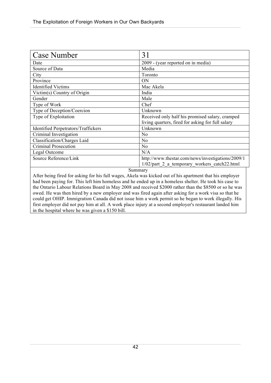| <b>Case Number</b>                         | 31                                                |
|--------------------------------------------|---------------------------------------------------|
| Date                                       | 2009 - (year reported on in media)                |
| Source of Data                             | Media                                             |
| City                                       | Toronto                                           |
| Province                                   | ON                                                |
| <b>Identified Victims</b>                  | Mac Akela                                         |
| Victim(s) Country of Origin                | India                                             |
| Gender                                     | Male                                              |
| Type of Work                               | Chef                                              |
| Type of Deception/Coercion                 | Unknown                                           |
| Type of Exploitation                       | Received only half his promised salary, cramped   |
|                                            | living quarters, fired for asking for full salary |
| <b>Identified Perpetrators/Traffickers</b> | Unknown                                           |
| Criminal Investigation                     | N <sub>o</sub>                                    |
| Classification/Charges Laid                | N <sub>o</sub>                                    |
| <b>Criminal Prosecution</b>                | N <sub>o</sub>                                    |
| Legal Outcome                              | N/A                                               |
| Source Reference/Link                      | http://www.thestar.com/news/investigations/2009/1 |
|                                            | 1/02/part 2 a temporary workers catch22.html      |
| $\mathcal{C}_{11}$ more                    |                                                   |

After being fired for asking for his full wages, Akela was kicked out of his apartment that his employer had been paying for. This left him homeless and he ended up in a homeless shelter. He took his case to the Ontario Labour Relations Board in May 2008 and received \$2000 rather than the \$8500 or so he was owed. He was then hired by a new employer and was fired again after asking for a work visa so that he could get OHIP. Immigration Canada did not issue him a work permit so he began to work illegally. His first employer did not pay him at all. A work place injury at a second employer's restaurant landed him in the hospital where he was given a \$150 bill.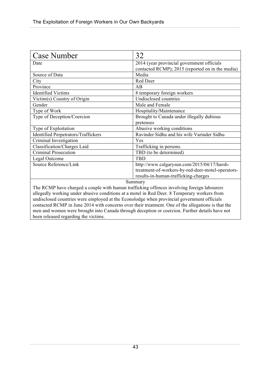| <b>Case Number</b>                                                                                 | 32                                                |
|----------------------------------------------------------------------------------------------------|---------------------------------------------------|
| Date                                                                                               | 2014 (year provincial government officials        |
|                                                                                                    | contacted RCMP); 2015 (reported on in the media)  |
| Source of Data                                                                                     | Media                                             |
| City                                                                                               | Red Deer                                          |
| Province                                                                                           | AB                                                |
| <b>Identified Victims</b>                                                                          | 8 temporary foreign workers                       |
| Victim(s) Country of Origin                                                                        | Undisclosed countries                             |
| Gender                                                                                             | Male and Female                                   |
| Type of Work                                                                                       | Hospitality/Maintenance                           |
| Type of Deception/Coercion                                                                         | Brought to Canada under illegally dubious         |
|                                                                                                    | pretenses                                         |
| Type of Exploitation                                                                               | Abusive working conditions                        |
| <b>Identified Perpetrators/Traffickers</b>                                                         | Ravinder Sidhu and his wife Varinder Sidhu        |
| Criminal Investigation                                                                             | Yes                                               |
| Classification/Charges Laid                                                                        | Trafficking in persons.                           |
| <b>Criminal Prosecution</b>                                                                        | TBD (to be determined)                            |
| Legal Outcome                                                                                      | <b>TBD</b>                                        |
| Source Reference/Link                                                                              | http://www.calgarysun.com/2015/04/17/harsh-       |
|                                                                                                    | treatment-of-workers-by-red-deer-motel-operators- |
|                                                                                                    | results-in-human-trafficking-charges              |
| Summary                                                                                            |                                                   |
| The RCMP have charged a couple with human trafficking offences involving foreign labourers         |                                                   |
| allegedly working under abusive conditions at a motel in Red Deer. 8 Temporary workers from        |                                                   |
| undisclosed countries were employed at the Econolodge when provincial government officials         |                                                   |
| contacted RCMP in June 2014 with concerns over their treatment. One of the allegations is that the |                                                   |

men and women were brought into Canada through deception or coercion. Further details have not been released regarding the victims.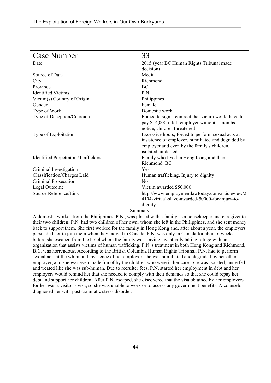| <b>Case Number</b>                         | 33                                                  |
|--------------------------------------------|-----------------------------------------------------|
| Date                                       | 2015 (year BC Human Rights Tribunal made            |
|                                            | decision)                                           |
| Source of Data                             | Media                                               |
| City                                       | Richmond                                            |
| Province                                   | BC                                                  |
| <b>Identified Victims</b>                  | P.N.                                                |
| Victim(s) Country of Origin                | Philippines                                         |
| Gender                                     | Female                                              |
| Type of Work                               | Domestic work                                       |
| Type of Deception/Coercion                 | Forced to sign a contract that victim would have to |
|                                            | pay \$14,000 if left employer without 1 months'     |
|                                            | notice, children threatened                         |
| Type of Exploitation                       | Excessive hours, forced to perform sexual acts at   |
|                                            | insistence of employer, humiliated and degraded by  |
|                                            | employer and even by the family's children,         |
|                                            | isolated, underfed                                  |
| <b>Identified Perpetrators/Traffickers</b> | Family who lived in Hong Kong and then              |
|                                            | Richmond, BC                                        |
| Criminal Investigation                     | Yes                                                 |
| Classification/Charges Laid                | Human trafficking, Injury to dignity                |
| Criminal Prosecution                       | No                                                  |
| Legal Outcome                              | Victim awarded \$50,000                             |
| Source Reference/Link                      | http://www.employmentlawtoday.com/articleview/2     |
|                                            | 4104-virtual-slave-awarded-50000-for-injury-to-     |
|                                            | dignity                                             |

A domestic worker from the Philippines, P.N., was placed with a family as a housekeeper and caregiver to their two children. P.N. had two children of her own, whom she left in the Philippines, and she sent money back to support them. She first worked for the family in Hong Kong and, after about a year, the employers persuaded her to join them when they moved to Canada. P.N. was only in Canada for about 6 weeks before she escaped from the hotel where the family was staying, eventually taking refuge with an organization that assists victims of human trafficking. P.N.'s treatment in both Hong Kong and Richmond, B.C. was horrendous. According to the British Columbia Human Rights Tribunal, P.N. had to perform sexual acts at the whim and insistence of her employer, she was humiliated and degraded by her other employer, and she was even made fun of by the children who were in her care. She was isolated, underfed and treated like she was sub-human. Due to recruiter fees, P.N. started her employment in debt and her employers would remind her that she needed to comply with their demands so that she could repay her debt and support her children. After P.N. escaped, she discovered that the visa obtained by her employers for her was a visitor's visa, so she was unable to work or to access any government benefits. A counselor diagnosed her with post-traumatic stress disorder.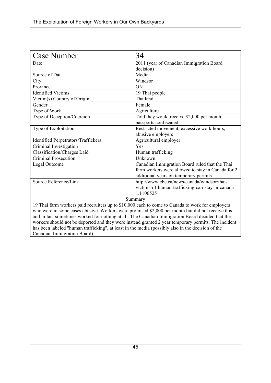| Case Number                                                                                         | 34                                                |
|-----------------------------------------------------------------------------------------------------|---------------------------------------------------|
| Date                                                                                                | 2011 (year of Canadian Immigration Board          |
|                                                                                                     | decision)                                         |
| Source of Data                                                                                      | Media                                             |
| City                                                                                                | Windsor                                           |
| Province                                                                                            | ON                                                |
| <b>Identified Victims</b>                                                                           | 19 Thai people                                    |
| Victim(s) Country of Origin                                                                         | Thailand                                          |
| Gender                                                                                              | Female                                            |
| Type of Work                                                                                        | Agriculture                                       |
| Type of Deception/Coercion                                                                          | Told they would receive \$2,000 per month,        |
|                                                                                                     | passports confiscated                             |
| Type of Exploitation                                                                                | Restricted movement, excessive work hours,        |
|                                                                                                     | abusive employers                                 |
| <b>Identified Perpetrators/Traffickers</b>                                                          | Agricultural employer                             |
| Criminal Investigation                                                                              | Yes                                               |
| Classification/Charges Laid                                                                         | Human trafficking                                 |
| <b>Criminal Prosecution</b>                                                                         | Unknown                                           |
| Legal Outcome                                                                                       | Canadian Immigration Board ruled that the Thai    |
|                                                                                                     | farm workers were allowed to stay in Canada for 2 |
|                                                                                                     | additional years on temporary permits             |
| Source Reference/Link                                                                               | http://www.cbc.ca/news/canada/windsor/thai-       |
|                                                                                                     | victims-of-human-trafficking-can-stay-in-canada-  |
|                                                                                                     | 1.1106525                                         |
| Summary                                                                                             |                                                   |
| 19 Thai farm workers paid recruiters up to \$10,000 each to come to Canada to work for employers    |                                                   |
| who were in some cases abusive. Workers were promised \$2,000 per month but did not receive this    |                                                   |
| and in fact sometimes worked for nothing at all. The Canadian Immigration Board decided that the    |                                                   |
| workers should not be deported and they were instead granted 2 year temporary permits. The incident |                                                   |
| has been labeled "human trafficking", at least in the media (possibly also in the decision of the   |                                                   |

Canadian Immigration Board).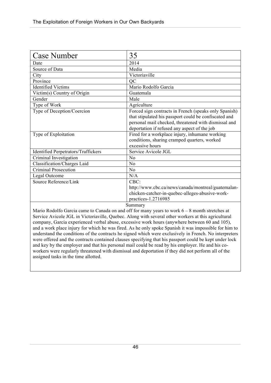| 35                                                                                                                                                                                                                     |
|------------------------------------------------------------------------------------------------------------------------------------------------------------------------------------------------------------------------|
| 2014                                                                                                                                                                                                                   |
| Media                                                                                                                                                                                                                  |
| Victoriaville                                                                                                                                                                                                          |
| QC                                                                                                                                                                                                                     |
| Mario Rodolfo Garcia                                                                                                                                                                                                   |
| Guatemala                                                                                                                                                                                                              |
| Male                                                                                                                                                                                                                   |
| Agriculture                                                                                                                                                                                                            |
| Forced sign contracts in French (speaks only Spanish)<br>that stipulated his passport could be confiscated and<br>personal mail checked, threatened with dismissal and<br>deportation if refused any aspect of the job |
| Fired for a workplace injury, inhumane working<br>conditions, sharing cramped quarters, worked<br>excessive hours                                                                                                      |
| Service Avicole JGL                                                                                                                                                                                                    |
| N <sub>o</sub>                                                                                                                                                                                                         |
| No                                                                                                                                                                                                                     |
| N <sub>o</sub>                                                                                                                                                                                                         |
| N/A                                                                                                                                                                                                                    |
| CBC:                                                                                                                                                                                                                   |
| http://www.cbc.ca/news/canada/montreal/guatemalan-                                                                                                                                                                     |
| chicken-catcher-in-quebec-alleges-abusive-work-                                                                                                                                                                        |
| practices-1.2716985<br>$\mathcal{C}_{11}$ mnor $\mathcal{C}_{11}$                                                                                                                                                      |
|                                                                                                                                                                                                                        |

Mario Rodolfo Garcia came to Canada on and off for many years to work 6 – 8 month stretches at Service Avicole JGL in Victoriaville, Quebec. Along with several other workers at this agricultural company, Garcia experienced verbal abuse, excessive work hours (anywhere between 60 and 105), and a work place injury for which he was fired. As he only spoke Spanish it was impossible for him to understand the conditions of the contracts he signed which were exclusively in French. No interpreters were offered and the contracts contained clauses specifying that his passport could be kept under lock and key by the employer and that his personal mail could be read by his employer. He and his coworkers were regularly threatened with dismissal and deportation if they did not perform all of the assigned tasks in the time allotted.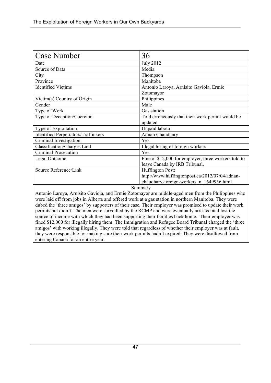| <b>Case Number</b>                         | 36                                                   |
|--------------------------------------------|------------------------------------------------------|
| Date                                       | <b>July 2012</b>                                     |
| Source of Data                             | Media                                                |
| City                                       | Thompson                                             |
| Province                                   | Manitoba                                             |
| <b>Identified Victims</b>                  | Antonio Laroya, Arnisito Gaviola, Ermie              |
|                                            | Zotomayor                                            |
| Victim(s) Country of Origin                | Philippines                                          |
| Gender                                     | Male                                                 |
| Type of Work                               | Gas station                                          |
| Type of Deception/Coercion                 | Told erroneously that their work permit would be     |
|                                            | updated                                              |
| Type of Exploitation                       | Unpaid labour                                        |
| <b>Identified Perpetrators/Traffickers</b> | Adnan Chaudhary                                      |
| Criminal Investigation                     | Yes                                                  |
| Classification/Charges Laid                | Illegal hiring of foreign workers                    |
| Criminal Prosecution                       | Yes                                                  |
| Legal Outcome                              | Fine of \$12,000 for employer, three workers told to |
|                                            | leave Canada by IRB Tribunal.                        |
| Source Reference/Link                      | Huffington Post:                                     |
|                                            | http://www.huffingtonpost.ca/2012/07/04/adnan-       |
|                                            | chaudhary-foreign-workers n 1649956.html             |
|                                            | Summary                                              |

Antonio Laroya, Arnisito Gaviola, and Ermie Zotomayor are middle-aged men from the Philippines who were laid off from jobs in Alberta and offered work at a gas station in northern Manitoba. They were dubed the 'three amigos' by supporters of their case. Their employer was promised to update their work permits but didn't. The men were surveilled by the RCMP and were eventually arrested and lost the source of income with which they had been supporting their families back home. Their employer was fined \$12,000 for illegally hiring them. The Immigration and Refugee Board Tribunal charged the 'three amigos' with working illegally. They were told that regardless of whether their employer was at fault, they were responsible for making sure their work permits hadn't expired. They were disallowed from entering Canada for an entire year.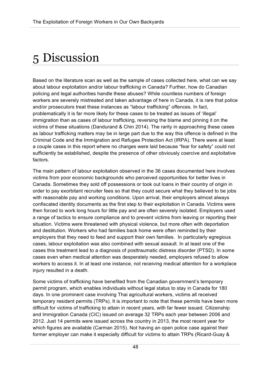# 5 Discussion

Based on the literature scan as well as the sample of cases collected here, what can we say about labour exploitation and/or labour trafficking in Canada? Further, how do Canadian policing and legal authorities handle these abuses? While countless numbers of foreign workers are severely mistreated and taken advantage of here in Canada, it is rare that police and/or prosecutors treat these instances as "labour trafficking" offences. In fact, problematically it is far more likely for these cases to be treated as issues of 'illegal' immigration than as cases of labour trafficking, reversing the blame and pinning it on the victims of these situations (Dandurand & Chin 2014). The rarity in approaching these cases as labour trafficking matters may be in large part due to the way this offence is defined in the Criminal Code and the Immigration and Refugee Protection Act (IRPA). There were at least a couple cases in this report where no charges were laid because "fear for safety" could not sufficiently be established, despite the presence of other obviously coercive and exploitative factors.

The main pattern of labour exploitation observed in the 36 cases documented here involves victims from poor economic backgrounds who perceived opportunities for better lives in Canada. Sometimes they sold off possessions or took out loans in their country of origin in order to pay exorbitant recruiter fees so that they could secure what they believed to be jobs with reasonable pay and working conditions. Upon arrival, their employers almost always confiscated identity documents as the first step to their exploitation in Canada. Victims were then forced to work long hours for little pay and are often severely isolated. Employers used a range of tactics to ensure compliance and to prevent victims from leaving or reporting their situation. Victims were threatened with physical violence, but more often with deportation and destitution. Workers who had families back home were often reminded by their employers that they need to feed and support their own families. In particularly egregious cases, labour exploitation was also combined with sexual assault. In at least one of the cases this treatment lead to a diagnosis of posttraumatic distress disorder (PTSD). In some cases even when medical attention was desperately needed, employers refused to allow workers to access it. In at least one instance, not receiving medical attention for a workplace injury resulted in a death.

Some victims of trafficking have benefited from the Canadian government's temporary permit program, which enables individuals without legal status to stay in Canada for 180 days. In one prominent case involving Thai agricultural workers, victims all received temporary resident permits (TRPs). It is important to note that these permits have been more difficult for victims of trafficking to attain in recent years, with far fewer issued. Citizenship and Immigration Canada (CIC) issued on average 32 TRPs each year between 2006 and 2012. Just 14 permits were issued across the country in 2013, the most recent year for which figures are available (Carman 2015). Not having an open police case against their former employer can make it especially difficult for victims to attain TRPs (Ricard-Guay &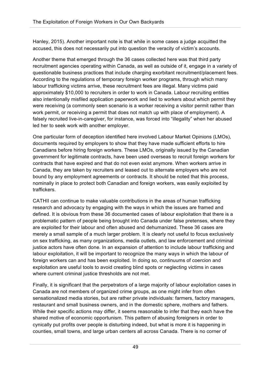Hanley, 2015). Another important note is that while in some cases a judge acquitted the accused, this does not necessarily put into question the veracity of victim's accounts.

Another theme that emerged through the 36 cases collected here was that third party recruitment agencies operating within Canada, as well as outside of it, engage in a variety of questionable business practices that include charging exorbitant recruitment/placement fees. According to the regulations of temporary foreign worker programs, through which many labour trafficking victims arrive, these recruitment fees are illegal. Many victims paid approximately \$10,000 to recruiters in order to work in Canada. Labour recruiting entities also intentionally misfiled application paperwork and lied to workers about which permit they were receiving (a commonly seen scenario is a worker receiving a visitor permit rather than work permit, or receiving a permit that does not match up with place of employment). A falsely recruited live-in-caregiver, for instance, was forced into "illegality" when her abused led her to seek work with another employer.

One particular form of deception identified here involved Labour Market Opinions (LMOs), documents required by employers to show that they have made sufficient efforts to hire Canadians before hiring foreign workers. These LMOs, originally issued by the Canadian government for legitimate contracts, have been used overseas to recruit foreign workers for contracts that have expired and that do not even exist anymore. When workers arrive in Canada, they are taken by recruiters and leased out to alternate employers who are not bound by any employment agreements or contracts. It should be noted that this process, nominally in place to protect both Canadian and foreign workers, was easily exploited by traffickers.

CATHII can continue to make valuable contributions in the areas of human trafficking research and advocacy by engaging with the ways in which the issues are framed and defined. It is obvious from these 36 documented cases of labour exploitation that there is a problematic pattern of people being brought into Canada under false pretenses, where they are exploited for their labour and often abused and dehumanized. These 36 cases are merely a small sample of a much larger problem. It is clearly not useful to focus exclusively on sex trafficking, as many organizations, media outlets, and law enforcement and criminal justice actors have often done. In an expansion of attention to include labour trafficking and labour exploitation, it will be important to recognize the many ways in which the labour of foreign workers can and has been exploited. In doing so, continuums of coercion and exploitation are useful tools to avoid creating blind spots or neglecting victims in cases where current criminal justice thresholds are not met.

Finally, it is significant that the perpetrators of a large majority of labour exploitation cases in Canada are not members of organized crime groups, as one might infer from often sensationalized media stories, but are rather private individuals: farmers, factory managers, restaurant and small business owners, and in the domestic sphere, mothers and fathers. While their specific actions may differ, it seems reasonable to infer that they each have the shared motive of economic opportunism. This pattern of abusing foreigners in order to cynically put profits over people is disturbing indeed, but what is more it is happening in counties, small towns, and large urban centers all across Canada. There is no corner of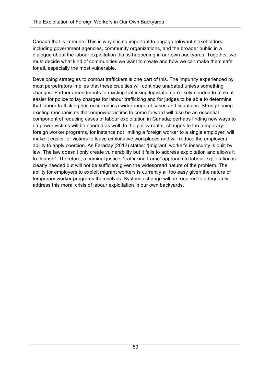Canada that is immune. This is why it is so important to engage relevant stakeholders including government agencies, community organizations, and the broader public in a dialogue about the labour exploitation that is happening in our own backyards. Together, we must decide what kind of communities we want to create and how we can make them safe for all, especially the most vulnerable.

Developing strategies to combat traffickers is one part of this. The impunity experienced by most perpetrators implies that these cruelties will continue unabated unless something changes. Further amendments to existing trafficking legislation are likely needed to make it easier for police to lay charges for labour trafficking and for judges to be able to determine that labour trafficking has occurred in a wider range of cases and situations. Strengthening existing mechanisms that empower victims to come forward will also be an essential component of reducing cases of labour exploitation in Canada; perhaps finding new ways to empower victims will be needed as well. In the policy realm, changes to the temporary foreign worker programs, for instance not limiting a foreign worker to a single employer, will make it easier for victims to leave exploitative workplaces and will reduce the employers ability to apply coercion. As Faraday (2012) states: "[migrant] worker's insecurity is built by law. The law doesn't only create vulnerability but it fails to address exploitation and allows it to flourish". Therefore, a criminal justice, 'trafficking frame' approach to labour exploitation is clearly needed but will not be sufficient given the widespread nature of the problem. The ability for employers to exploit migrant workers is currently all too easy given the nature of temporary worker programs themselves. Systemic change will be required to adequately address this moral crisis of labour exploitation in our own backyards.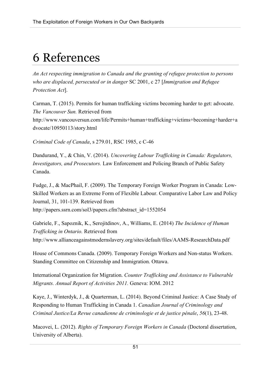# 6 References

*An Act respecting immigration to Canada and the granting of refugee protection to persons who are displaced, persecuted or in danger* SC 2001, c 27 [*Immigration and Refugee Protection Act*].

Carman, T. (2015). Permits for human trafficking victims becoming harder to get: advocate. *The Vancouver Sun.* Retrieved from http://www.vancouversun.com/life/Permits+human+trafficking+victims+becoming+harder+a dvocate/10950113/story.html

*Criminal Code of Canada*, s 279.01, RSC 1985, c C-46

Dandurand, Y., & Chin, V. (2014). *Uncovering Labour Trafficking in Canada: Regulators, Investigators, and Prosecutors.* Law Enforcement and Policing Branch of Public Safety Canada.

Fudge, J., & MacPhail, F. (2009). The Temporary Foreign Worker Program in Canada: Low-Skilled Workers as an Extreme Form of Flexible Labour. Comparative Labor Law and Policy Journal, 31, 101-139. Retrieved from http://papers.ssrn.com/sol3/papers.cfm?abstract\_id=1552054

Gabriele, F., Sapoznik, K., Serojitdinov, A., Williams, E. (2014) *The Incidence of Human Trafficking in Ontario.* Retrieved from http://www.allianceagainstmodernslavery.org/sites/default/files/AAMS-ResearchData.pdf

House of Commons Canada. (2009). Temporary Foreign Workers and Non-status Workers. Standing Committee on Citizenship and Immigration. Ottawa.

International Organization for Migration. *Counter Trafficking and Assistance to Vulnerable Migrants. Annual Report of Activities 2011.* Geneva: IOM. 2012

Kaye, J., Winterdyk, J., & Quarterman, L. (2014). Beyond Criminal Justice: A Case Study of Responding to Human Trafficking in Canada 1. *Canadian Journal of Criminology and Criminal Justice/La Revue canadienne de criminologie et de justice pénale*, *56*(1), 23-48.

Macovei, L. (2012). *Rights of Temporary Foreign Workers in Canada* (Doctoral dissertation, University of Alberta).